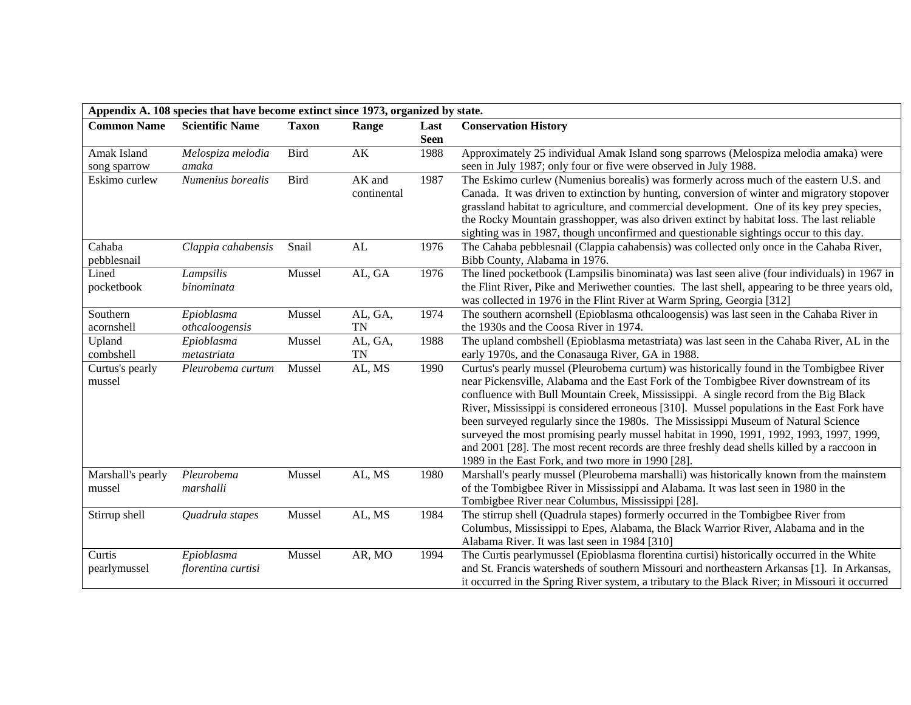| Appendix A. 108 species that have become extinct since 1973, organized by state. |                        |              |                        |             |                                                                                                 |  |  |
|----------------------------------------------------------------------------------|------------------------|--------------|------------------------|-------------|-------------------------------------------------------------------------------------------------|--|--|
| <b>Common Name</b>                                                               | <b>Scientific Name</b> | <b>Taxon</b> | Range                  | Last        | <b>Conservation History</b>                                                                     |  |  |
|                                                                                  |                        |              |                        | <b>Seen</b> |                                                                                                 |  |  |
| Amak Island                                                                      | Melospiza melodia      | Bird         | $\mathbf{A}\mathbf{K}$ | 1988        | Approximately 25 individual Amak Island song sparrows (Melospiza melodia amaka) were            |  |  |
| song sparrow                                                                     | amaka                  |              |                        |             | seen in July 1987; only four or five were observed in July 1988.                                |  |  |
| Eskimo curlew                                                                    | Numenius borealis      | <b>Bird</b>  | AK and                 | 1987        | The Eskimo curlew (Numenius borealis) was formerly across much of the eastern U.S. and          |  |  |
|                                                                                  |                        |              | continental            |             | Canada. It was driven to extinction by hunting, conversion of winter and migratory stopover     |  |  |
|                                                                                  |                        |              |                        |             | grassland habitat to agriculture, and commercial development. One of its key prey species,      |  |  |
|                                                                                  |                        |              |                        |             | the Rocky Mountain grasshopper, was also driven extinct by habitat loss. The last reliable      |  |  |
|                                                                                  |                        |              |                        |             | sighting was in 1987, though unconfirmed and questionable sightings occur to this day.          |  |  |
| Cahaba                                                                           | Clappia cahabensis     | Snail        | AL                     | 1976        | The Cahaba pebblesnail (Clappia cahabensis) was collected only once in the Cahaba River,        |  |  |
| pebblesnail                                                                      |                        |              |                        |             | Bibb County, Alabama in 1976.                                                                   |  |  |
| Lined                                                                            | Lampsilis              | Mussel       | AL, GA                 | 1976        | The lined pocketbook (Lampsilis binominata) was last seen alive (four individuals) in 1967 in   |  |  |
| pocketbook                                                                       | binominata             |              |                        |             | the Flint River, Pike and Meriwether counties. The last shell, appearing to be three years old, |  |  |
|                                                                                  |                        |              |                        |             | was collected in 1976 in the Flint River at Warm Spring, Georgia [312]                          |  |  |
| Southern                                                                         | Epioblasma             | Mussel       | AL, GA,                | 1974        | The southern acornshell (Epioblasma othcaloogensis) was last seen in the Cahaba River in        |  |  |
| acornshell                                                                       | othcaloogensis         |              | <b>TN</b>              |             | the 1930s and the Coosa River in 1974.                                                          |  |  |
| Upland                                                                           | Epioblasma             | Mussel       | AL, GA,                | 1988        | The upland combshell (Epioblasma metastriata) was last seen in the Cahaba River, AL in the      |  |  |
| combshell                                                                        | metastriata            |              | <b>TN</b>              |             | early 1970s, and the Conasauga River, GA in 1988.                                               |  |  |
| Curtus's pearly                                                                  | Pleurobema curtum      | Mussel       | AL, MS                 | 1990        | Curtus's pearly mussel (Pleurobema curtum) was historically found in the Tombigbee River        |  |  |
| mussel                                                                           |                        |              |                        |             | near Pickensville, Alabama and the East Fork of the Tombigbee River downstream of its           |  |  |
|                                                                                  |                        |              |                        |             | confluence with Bull Mountain Creek, Mississippi. A single record from the Big Black            |  |  |
|                                                                                  |                        |              |                        |             | River, Mississippi is considered erroneous [310]. Mussel populations in the East Fork have      |  |  |
|                                                                                  |                        |              |                        |             | been surveyed regularly since the 1980s. The Mississippi Museum of Natural Science              |  |  |
|                                                                                  |                        |              |                        |             | surveyed the most promising pearly mussel habitat in 1990, 1991, 1992, 1993, 1997, 1999,        |  |  |
|                                                                                  |                        |              |                        |             | and 2001 [28]. The most recent records are three freshly dead shells killed by a raccoon in     |  |  |
|                                                                                  |                        |              |                        |             | 1989 in the East Fork, and two more in 1990 [28].                                               |  |  |
| Marshall's pearly                                                                | Pleurobema             | Mussel       | AL, MS                 | 1980        | Marshall's pearly mussel (Pleurobema marshalli) was historically known from the mainstem        |  |  |
| mussel                                                                           | marshalli              |              |                        |             | of the Tombigbee River in Mississippi and Alabama. It was last seen in 1980 in the              |  |  |
|                                                                                  |                        |              |                        |             | Tombigbee River near Columbus, Mississippi [28].                                                |  |  |
| Stirrup shell                                                                    | Quadrula stapes        | Mussel       | AL, MS                 | 1984        | The stirrup shell (Quadrula stapes) formerly occurred in the Tombigbee River from               |  |  |
|                                                                                  |                        |              |                        |             | Columbus, Mississippi to Epes, Alabama, the Black Warrior River, Alabama and in the             |  |  |
|                                                                                  |                        |              |                        |             | Alabama River. It was last seen in 1984 [310]                                                   |  |  |
| Curtis                                                                           | Epioblasma             | Mussel       | AR, MO                 | 1994        | The Curtis pearlymussel (Epioblasma florentina curtisi) historically occurred in the White      |  |  |
| pearlymussel                                                                     | florentina curtisi     |              |                        |             | and St. Francis watersheds of southern Missouri and northeastern Arkansas [1]. In Arkansas,     |  |  |
|                                                                                  |                        |              |                        |             | it occurred in the Spring River system, a tributary to the Black River; in Missouri it occurred |  |  |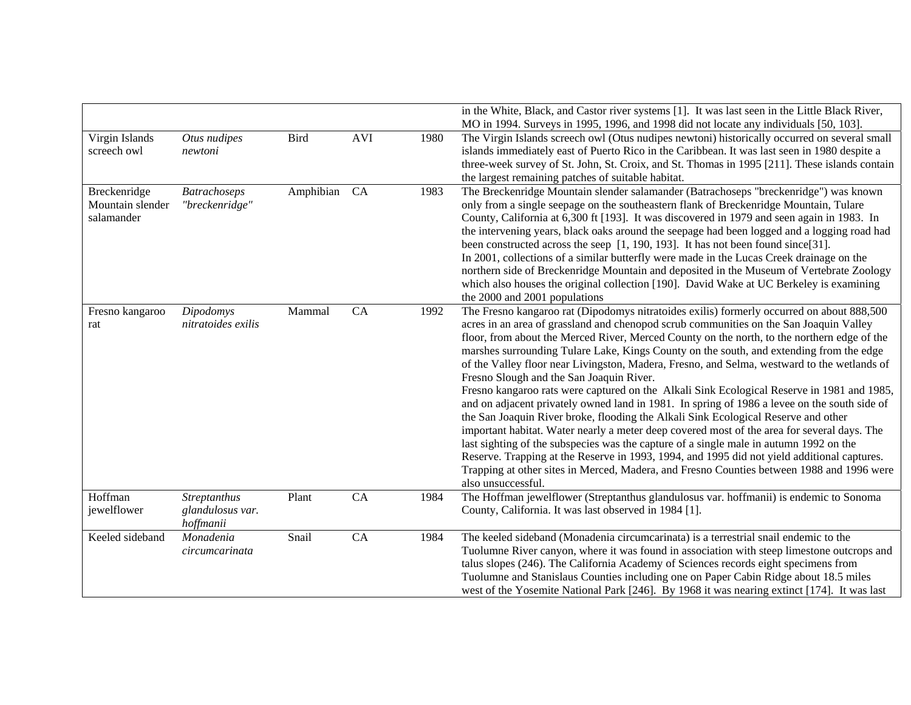|                                                |                                                      |             |            |      | in the White, Black, and Castor river systems [1]. It was last seen in the Little Black River,<br>MO in 1994. Surveys in 1995, 1996, and 1998 did not locate any individuals [50, 103].                                                                                                                                                                                                                                                                                                                                                                                                                                                                                                                                                                                                                                                                                                                                                                                                                                                                                                                                                                                                                                 |
|------------------------------------------------|------------------------------------------------------|-------------|------------|------|-------------------------------------------------------------------------------------------------------------------------------------------------------------------------------------------------------------------------------------------------------------------------------------------------------------------------------------------------------------------------------------------------------------------------------------------------------------------------------------------------------------------------------------------------------------------------------------------------------------------------------------------------------------------------------------------------------------------------------------------------------------------------------------------------------------------------------------------------------------------------------------------------------------------------------------------------------------------------------------------------------------------------------------------------------------------------------------------------------------------------------------------------------------------------------------------------------------------------|
| Virgin Islands<br>screech owl                  | Otus nudipes<br>newtoni                              | <b>Bird</b> | <b>AVI</b> | 1980 | The Virgin Islands screech owl (Otus nudipes newtoni) historically occurred on several small<br>islands immediately east of Puerto Rico in the Caribbean. It was last seen in 1980 despite a<br>three-week survey of St. John, St. Croix, and St. Thomas in 1995 [211]. These islands contain<br>the largest remaining patches of suitable habitat.                                                                                                                                                                                                                                                                                                                                                                                                                                                                                                                                                                                                                                                                                                                                                                                                                                                                     |
| Breckenridge<br>Mountain slender<br>salamander | <b>Batrachoseps</b><br>"breckenridge"                | Amphibian   | CA         | 1983 | The Breckenridge Mountain slender salamander (Batrachoseps "breckenridge") was known<br>only from a single seepage on the southeastern flank of Breckenridge Mountain, Tulare<br>County, California at 6,300 ft [193]. It was discovered in 1979 and seen again in 1983. In<br>the intervening years, black oaks around the seepage had been logged and a logging road had<br>been constructed across the seep [1, 190, 193]. It has not been found since[31].<br>In 2001, collections of a similar butterfly were made in the Lucas Creek drainage on the<br>northern side of Breckenridge Mountain and deposited in the Museum of Vertebrate Zoology<br>which also houses the original collection [190]. David Wake at UC Berkeley is examining<br>the 2000 and 2001 populations                                                                                                                                                                                                                                                                                                                                                                                                                                      |
| Fresno kangaroo<br>rat                         | Dipodomys<br>nitratoides exilis                      | Mammal      | CA         | 1992 | The Fresno kangaroo rat (Dipodomys nitratoides exilis) formerly occurred on about 888,500<br>acres in an area of grassland and chenopod scrub communities on the San Joaquin Valley<br>floor, from about the Merced River, Merced County on the north, to the northern edge of the<br>marshes surrounding Tulare Lake, Kings County on the south, and extending from the edge<br>of the Valley floor near Livingston, Madera, Fresno, and Selma, westward to the wetlands of<br>Fresno Slough and the San Joaquin River.<br>Fresno kangaroo rats were captured on the Alkali Sink Ecological Reserve in 1981 and 1985,<br>and on adjacent privately owned land in 1981. In spring of 1986 a levee on the south side of<br>the San Joaquin River broke, flooding the Alkali Sink Ecological Reserve and other<br>important habitat. Water nearly a meter deep covered most of the area for several days. The<br>last sighting of the subspecies was the capture of a single male in autumn 1992 on the<br>Reserve. Trapping at the Reserve in 1993, 1994, and 1995 did not yield additional captures.<br>Trapping at other sites in Merced, Madera, and Fresno Counties between 1988 and 1996 were<br>also unsuccessful. |
| Hoffman<br>jewelflower                         | <b>Streptanthus</b><br>glandulosus var.<br>hoffmanii | Plant       | CA         | 1984 | The Hoffman jewelflower (Streptanthus glandulosus var. hoffmanii) is endemic to Sonoma<br>County, California. It was last observed in 1984 [1].                                                                                                                                                                                                                                                                                                                                                                                                                                                                                                                                                                                                                                                                                                                                                                                                                                                                                                                                                                                                                                                                         |
| Keeled sideband                                | Monadenia<br>circumcarinata                          | Snail       | CA         | 1984 | The keeled sideband (Monadenia circumcarinata) is a terrestrial snail endemic to the<br>Tuolumne River canyon, where it was found in association with steep limestone outcrops and<br>talus slopes (246). The California Academy of Sciences records eight specimens from<br>Tuolumne and Stanislaus Counties including one on Paper Cabin Ridge about 18.5 miles<br>west of the Yosemite National Park [246]. By 1968 it was nearing extinct [174]. It was last                                                                                                                                                                                                                                                                                                                                                                                                                                                                                                                                                                                                                                                                                                                                                        |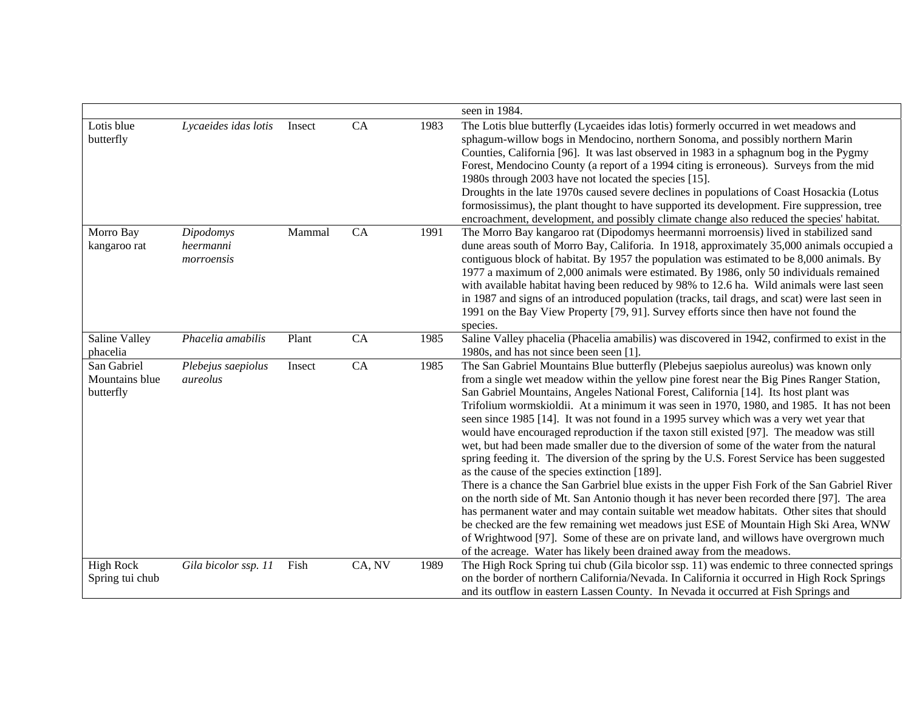|                                            |                                      |        |        |      | seen in 1984.                                                                                                                                                                                                                                                                                                                                                                                                                                                                                                                                                                                                                                                                                                                                                                                                                                                                                                                                                                                                                                                                                                                                                                                                                                                                                                                                                      |
|--------------------------------------------|--------------------------------------|--------|--------|------|--------------------------------------------------------------------------------------------------------------------------------------------------------------------------------------------------------------------------------------------------------------------------------------------------------------------------------------------------------------------------------------------------------------------------------------------------------------------------------------------------------------------------------------------------------------------------------------------------------------------------------------------------------------------------------------------------------------------------------------------------------------------------------------------------------------------------------------------------------------------------------------------------------------------------------------------------------------------------------------------------------------------------------------------------------------------------------------------------------------------------------------------------------------------------------------------------------------------------------------------------------------------------------------------------------------------------------------------------------------------|
| Lotis blue<br>butterfly                    | Lycaeides idas lotis                 | Insect | CA     | 1983 | The Lotis blue butterfly (Lycaeides idas lotis) formerly occurred in wet meadows and<br>sphagum-willow bogs in Mendocino, northern Sonoma, and possibly northern Marin<br>Counties, California [96]. It was last observed in 1983 in a sphagnum bog in the Pygmy<br>Forest, Mendocino County (a report of a 1994 citing is erroneous). Surveys from the mid<br>1980s through 2003 have not located the species [15].<br>Droughts in the late 1970s caused severe declines in populations of Coast Hosackia (Lotus<br>formosissimus), the plant thought to have supported its development. Fire suppression, tree<br>encroachment, development, and possibly climate change also reduced the species' habitat.                                                                                                                                                                                                                                                                                                                                                                                                                                                                                                                                                                                                                                                      |
| Morro Bay<br>kangaroo rat                  | Dipodomys<br>heermanni<br>morroensis | Mammal | CA     | 1991 | The Morro Bay kangaroo rat (Dipodomys heermanni morroensis) lived in stabilized sand<br>dune areas south of Morro Bay, Califoria. In 1918, approximately 35,000 animals occupied a<br>contiguous block of habitat. By 1957 the population was estimated to be 8,000 animals. By<br>1977 a maximum of 2,000 animals were estimated. By 1986, only 50 individuals remained<br>with available habitat having been reduced by 98% to 12.6 ha. Wild animals were last seen<br>in 1987 and signs of an introduced population (tracks, tail drags, and scat) were last seen in<br>1991 on the Bay View Property [79, 91]. Survey efforts since then have not found the<br>species.                                                                                                                                                                                                                                                                                                                                                                                                                                                                                                                                                                                                                                                                                        |
| Saline Valley<br>phacelia                  | Phacelia amabilis                    | Plant  | CA     | 1985 | Saline Valley phacelia (Phacelia amabilis) was discovered in 1942, confirmed to exist in the<br>1980s, and has not since been seen [1].                                                                                                                                                                                                                                                                                                                                                                                                                                                                                                                                                                                                                                                                                                                                                                                                                                                                                                                                                                                                                                                                                                                                                                                                                            |
| San Gabriel<br>Mountains blue<br>butterfly | Plebejus saepiolus<br>aureolus       | Insect | CA     | 1985 | The San Gabriel Mountains Blue butterfly (Plebejus saepiolus aureolus) was known only<br>from a single wet meadow within the yellow pine forest near the Big Pines Ranger Station,<br>San Gabriel Mountains, Angeles National Forest, California [14]. Its host plant was<br>Trifolium wormskioldii. At a minimum it was seen in 1970, 1980, and 1985. It has not been<br>seen since 1985 [14]. It was not found in a 1995 survey which was a very wet year that<br>would have encouraged reproduction if the taxon still existed [97]. The meadow was still<br>wet, but had been made smaller due to the diversion of some of the water from the natural<br>spring feeding it. The diversion of the spring by the U.S. Forest Service has been suggested<br>as the cause of the species extinction [189].<br>There is a chance the San Garbriel blue exists in the upper Fish Fork of the San Gabriel River<br>on the north side of Mt. San Antonio though it has never been recorded there [97]. The area<br>has permanent water and may contain suitable wet meadow habitats. Other sites that should<br>be checked are the few remaining wet meadows just ESE of Mountain High Ski Area, WNW<br>of Wrightwood [97]. Some of these are on private land, and willows have overgrown much<br>of the acreage. Water has likely been drained away from the meadows. |
| <b>High Rock</b><br>Spring tui chub        | Gila bicolor ssp. 11                 | Fish   | CA, NV | 1989 | The High Rock Spring tui chub (Gila bicolor ssp. 11) was endemic to three connected springs<br>on the border of northern California/Nevada. In California it occurred in High Rock Springs<br>and its outflow in eastern Lassen County. In Nevada it occurred at Fish Springs and                                                                                                                                                                                                                                                                                                                                                                                                                                                                                                                                                                                                                                                                                                                                                                                                                                                                                                                                                                                                                                                                                  |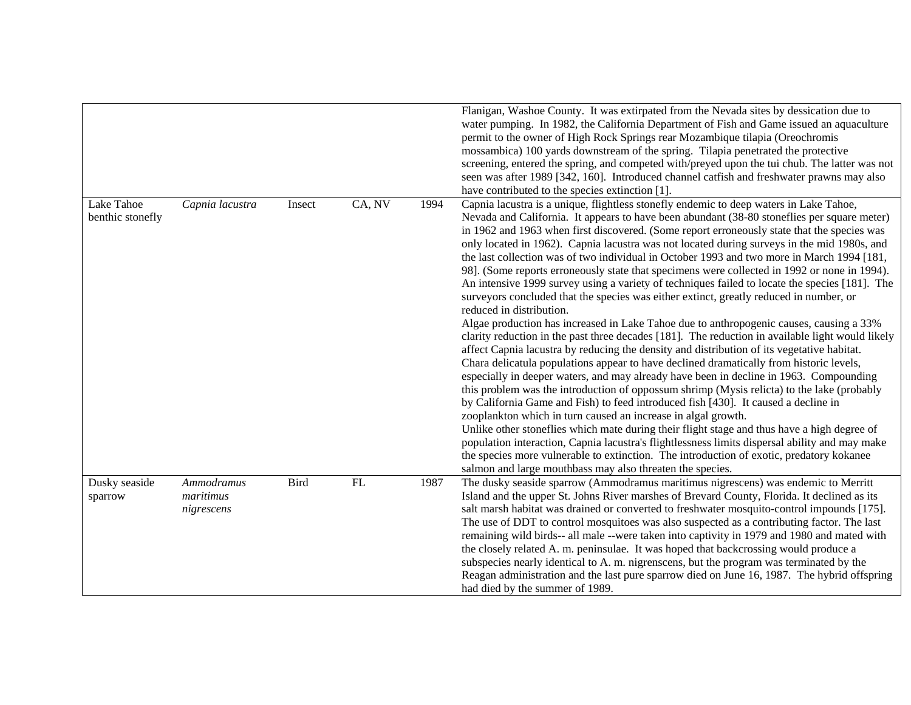|                                |                                       |        |            |      | Flanigan, Washoe County. It was extirpated from the Nevada sites by dessication due to<br>water pumping. In 1982, the California Department of Fish and Game issued an aquaculture<br>permit to the owner of High Rock Springs rear Mozambique tilapia (Oreochromis<br>mossambica) 100 yards downstream of the spring. Tilapia penetrated the protective<br>screening, entered the spring, and competed with/preyed upon the tui chub. The latter was not<br>seen was after 1989 [342, 160]. Introduced channel catfish and freshwater prawns may also<br>have contributed to the species extinction [1].                                                                                                                                                                                                                                                                                                                                                                                                                                                                                                                                                                                                                                                                                                                                                                                                                                                                                                                                                                                                                                                                                                                                                                                                                                                                                                  |
|--------------------------------|---------------------------------------|--------|------------|------|------------------------------------------------------------------------------------------------------------------------------------------------------------------------------------------------------------------------------------------------------------------------------------------------------------------------------------------------------------------------------------------------------------------------------------------------------------------------------------------------------------------------------------------------------------------------------------------------------------------------------------------------------------------------------------------------------------------------------------------------------------------------------------------------------------------------------------------------------------------------------------------------------------------------------------------------------------------------------------------------------------------------------------------------------------------------------------------------------------------------------------------------------------------------------------------------------------------------------------------------------------------------------------------------------------------------------------------------------------------------------------------------------------------------------------------------------------------------------------------------------------------------------------------------------------------------------------------------------------------------------------------------------------------------------------------------------------------------------------------------------------------------------------------------------------------------------------------------------------------------------------------------------------|
| Lake Tahoe<br>benthic stonefly | Capnia lacustra                       | Insect | CA, NV     | 1994 | Capnia lacustra is a unique, flightless stonefly endemic to deep waters in Lake Tahoe,<br>Nevada and California. It appears to have been abundant (38-80 stoneflies per square meter)<br>in 1962 and 1963 when first discovered. (Some report erroneously state that the species was<br>only located in 1962). Capnia lacustra was not located during surveys in the mid 1980s, and<br>the last collection was of two individual in October 1993 and two more in March 1994 [181,<br>98]. (Some reports erroneously state that specimens were collected in 1992 or none in 1994).<br>An intensive 1999 survey using a variety of techniques failed to locate the species [181]. The<br>surveyors concluded that the species was either extinct, greatly reduced in number, or<br>reduced in distribution.<br>Algae production has increased in Lake Tahoe due to anthropogenic causes, causing a 33%<br>clarity reduction in the past three decades [181]. The reduction in available light would likely<br>affect Capnia lacustra by reducing the density and distribution of its vegetative habitat.<br>Chara delicatula populations appear to have declined dramatically from historic levels,<br>especially in deeper waters, and may already have been in decline in 1963. Compounding<br>this problem was the introduction of oppossum shrimp (Mysis relicta) to the lake (probably<br>by California Game and Fish) to feed introduced fish [430]. It caused a decline in<br>zooplankton which in turn caused an increase in algal growth.<br>Unlike other stoneflies which mate during their flight stage and thus have a high degree of<br>population interaction, Capnia lacustra's flightlessness limits dispersal ability and may make<br>the species more vulnerable to extinction. The introduction of exotic, predatory kokanee<br>salmon and large mouthbass may also threaten the species. |
| Dusky seaside<br>sparrow       | Ammodramus<br>maritimus<br>nigrescens | Bird   | ${\rm FL}$ | 1987 | The dusky seaside sparrow (Ammodramus maritimus nigrescens) was endemic to Merritt<br>Island and the upper St. Johns River marshes of Brevard County, Florida. It declined as its<br>salt marsh habitat was drained or converted to freshwater mosquito-control impounds [175].<br>The use of DDT to control mosquitoes was also suspected as a contributing factor. The last<br>remaining wild birds-- all male --were taken into captivity in 1979 and 1980 and mated with<br>the closely related A. m. peninsulae. It was hoped that backcrossing would produce a<br>subspecies nearly identical to A. m. nigrenscens, but the program was terminated by the<br>Reagan administration and the last pure sparrow died on June 16, 1987. The hybrid offspring<br>had died by the summer of 1989.                                                                                                                                                                                                                                                                                                                                                                                                                                                                                                                                                                                                                                                                                                                                                                                                                                                                                                                                                                                                                                                                                                          |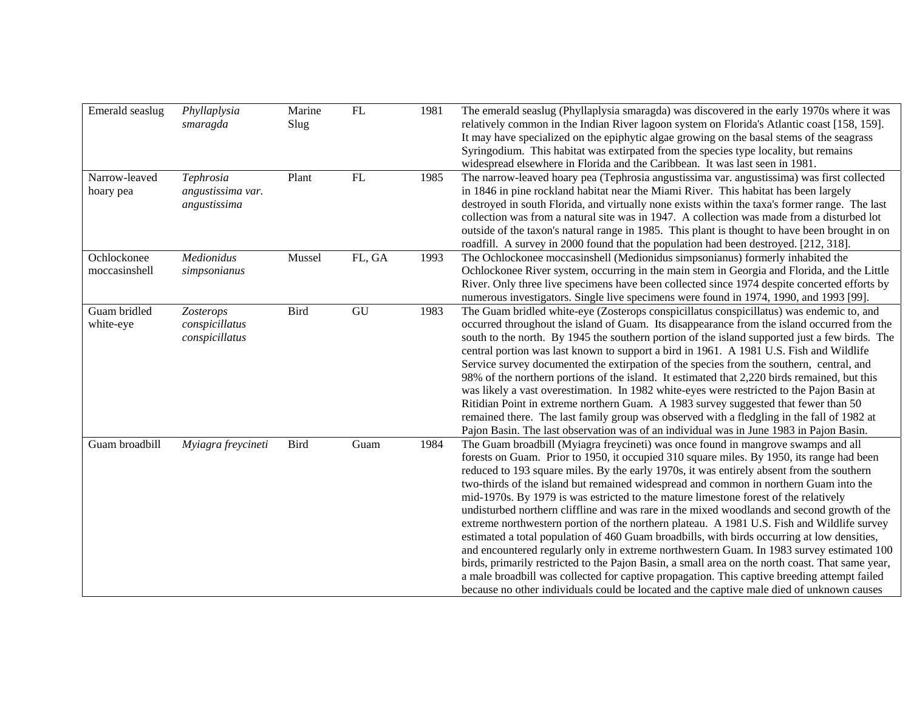| Emerald seaslug              | Phyllaplysia<br>smaragda                       | Marine<br>Slug | ${\rm FL}$                 | 1981 | The emerald seaslug (Phyllaplysia smaragda) was discovered in the early 1970s where it was<br>relatively common in the Indian River lagoon system on Florida's Atlantic coast [158, 159].<br>It may have specialized on the epiphytic algae growing on the basal stems of the seagrass<br>Syringodium. This habitat was extirpated from the species type locality, but remains<br>widespread elsewhere in Florida and the Caribbean. It was last seen in 1981.                                                                                                                                                                                                                                                                                                                                                                                                                                                                                                                                                                                                                                                                                         |
|------------------------------|------------------------------------------------|----------------|----------------------------|------|--------------------------------------------------------------------------------------------------------------------------------------------------------------------------------------------------------------------------------------------------------------------------------------------------------------------------------------------------------------------------------------------------------------------------------------------------------------------------------------------------------------------------------------------------------------------------------------------------------------------------------------------------------------------------------------------------------------------------------------------------------------------------------------------------------------------------------------------------------------------------------------------------------------------------------------------------------------------------------------------------------------------------------------------------------------------------------------------------------------------------------------------------------|
| Narrow-leaved<br>hoary pea   | Tephrosia<br>angustissima var.<br>angustissima | Plant          | $\mathop{\rm FL}\nolimits$ | 1985 | The narrow-leaved hoary pea (Tephrosia angustissima var. angustissima) was first collected<br>in 1846 in pine rockland habitat near the Miami River. This habitat has been largely<br>destroyed in south Florida, and virtually none exists within the taxa's former range. The last<br>collection was from a natural site was in 1947. A collection was made from a disturbed lot<br>outside of the taxon's natural range in 1985. This plant is thought to have been brought in on<br>roadfill. A survey in 2000 found that the population had been destroyed. [212, 318].                                                                                                                                                                                                                                                                                                                                                                                                                                                                                                                                                                           |
| Ochlockonee<br>moccasinshell | Medionidus<br>simpsonianus                     | Mussel         | FL, GA                     | 1993 | The Ochlockonee moccasinshell (Medionidus simpsonianus) formerly inhabited the<br>Ochlockonee River system, occurring in the main stem in Georgia and Florida, and the Little<br>River. Only three live specimens have been collected since 1974 despite concerted efforts by<br>numerous investigators. Single live specimens were found in 1974, 1990, and 1993 [99].                                                                                                                                                                                                                                                                                                                                                                                                                                                                                                                                                                                                                                                                                                                                                                                |
| Guam bridled<br>white-eye    | Zosterops<br>conspicillatus<br>conspicillatus  | Bird           | GU                         | 1983 | The Guam bridled white-eye (Zosterops conspicillatus conspicillatus) was endemic to, and<br>occurred throughout the island of Guam. Its disappearance from the island occurred from the<br>south to the north. By 1945 the southern portion of the island supported just a few birds. The<br>central portion was last known to support a bird in 1961. A 1981 U.S. Fish and Wildlife<br>Service survey documented the extirpation of the species from the southern, central, and<br>98% of the northern portions of the island. It estimated that 2,220 birds remained, but this<br>was likely a vast overestimation. In 1982 white-eyes were restricted to the Pajon Basin at<br>Ritidian Point in extreme northern Guam. A 1983 survey suggested that fewer than 50<br>remained there. The last family group was observed with a fledgling in the fall of 1982 at<br>Pajon Basin. The last observation was of an individual was in June 1983 in Pajon Basin.                                                                                                                                                                                         |
| Guam broadbill               | Myiagra freycineti                             | Bird           | Guam                       | 1984 | The Guam broadbill (Myiagra freycineti) was once found in mangrove swamps and all<br>forests on Guam. Prior to 1950, it occupied 310 square miles. By 1950, its range had been<br>reduced to 193 square miles. By the early 1970s, it was entirely absent from the southern<br>two-thirds of the island but remained widespread and common in northern Guam into the<br>mid-1970s. By 1979 is was estricted to the mature limestone forest of the relatively<br>undisturbed northern cliffline and was rare in the mixed woodlands and second growth of the<br>extreme northwestern portion of the northern plateau. A 1981 U.S. Fish and Wildlife survey<br>estimated a total population of 460 Guam broadbills, with birds occurring at low densities,<br>and encountered regularly only in extreme northwestern Guam. In 1983 survey estimated 100<br>birds, primarily restricted to the Pajon Basin, a small area on the north coast. That same year,<br>a male broadbill was collected for captive propagation. This captive breeding attempt failed<br>because no other individuals could be located and the captive male died of unknown causes |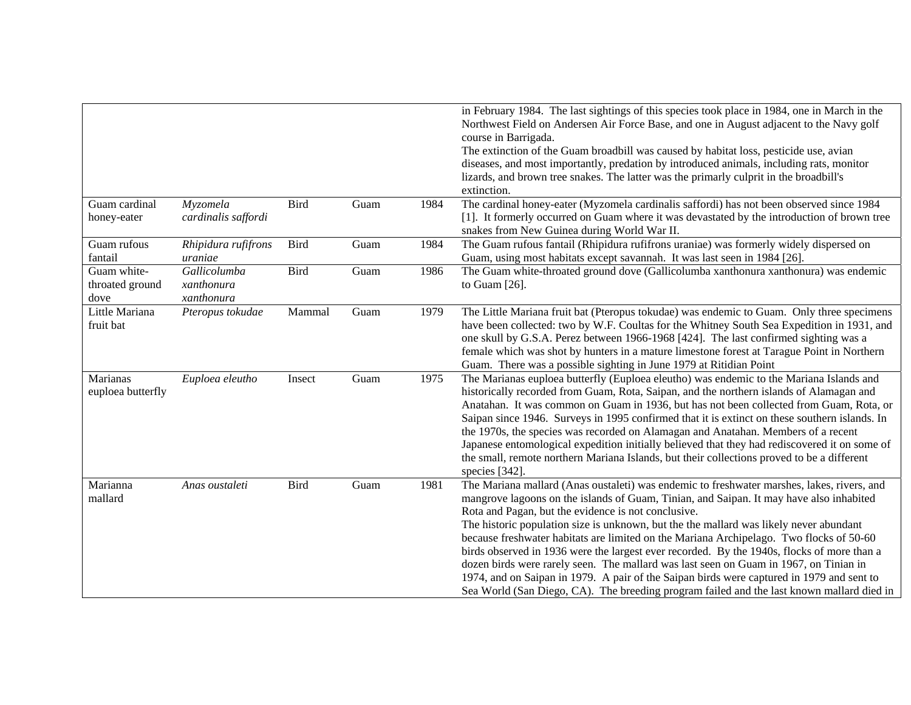| in February 1984. The last sightings of this species took place in 1984, one in March in the<br>Northwest Field on Andersen Air Force Base, and one in August adjacent to the Navy golf<br>course in Barrigada.<br>The extinction of the Guam broadbill was caused by habitat loss, pesticide use, avian<br>diseases, and most importantly, predation by introduced animals, including rats, monitor<br>lizards, and brown tree snakes. The latter was the primarly culprit in the broadbill's<br>extinction.<br>The cardinal honey-eater (Myzomela cardinalis saffordi) has not been observed since 1984<br>Guam cardinal<br>Myzomela<br><b>Bird</b><br>1984<br>Guam<br>[1]. It formerly occurred on Guam where it was devastated by the introduction of brown tree<br>honey-eater<br>cardinalis saffordi<br>snakes from New Guinea during World War II.<br>The Guam rufous fantail (Rhipidura rufifrons uraniae) was formerly widely dispersed on<br>Rhipidura rufifrons<br><b>Bird</b><br>1984<br>Guam rufous<br>Guam<br>fantail<br>Guam, using most habitats except savannah. It was last seen in 1984 [26].<br>uraniae<br>Guam white-<br>The Guam white-throated ground dove (Gallicolumba xanthonura xanthonura) was endemic<br>Gallicolumba<br><b>Bird</b><br>1986<br>Guam<br>throated ground<br>to Guam $[26]$ .<br>xanthonura<br>xanthonura<br>dove<br>Little Mariana<br>The Little Mariana fruit bat (Pteropus tokudae) was endemic to Guam. Only three specimens<br>Pteropus tokudae<br>Mammal<br>Guam<br>1979<br>have been collected: two by W.F. Coultas for the Whitney South Sea Expedition in 1931, and<br>fruit bat<br>one skull by G.S.A. Perez between 1966-1968 [424]. The last confirmed sighting was a<br>female which was shot by hunters in a mature limestone forest at Tarague Point in Northern<br>Guam. There was a possible sighting in June 1979 at Ritidian Point<br>Marianas<br>The Marianas euploea butterfly (Euploea eleutho) was endemic to the Mariana Islands and<br>Euploea eleutho<br>Guam<br>1975<br>Insect<br>historically recorded from Guam, Rota, Saipan, and the northern islands of Alamagan and<br>euploea butterfly<br>Anatahan. It was common on Guam in 1936, but has not been collected from Guam, Rota, or<br>Saipan since 1946. Surveys in 1995 confirmed that it is extinct on these southern islands. In<br>the 1970s, the species was recorded on Alamagan and Anatahan. Members of a recent<br>Japanese entomological expedition initially believed that they had rediscovered it on some of<br>the small, remote northern Mariana Islands, but their collections proved to be a different<br>species [342].<br>The Mariana mallard (Anas oustaleti) was endemic to freshwater marshes, lakes, rivers, and<br>Marianna<br>Bird<br>1981<br>Anas oustaleti<br>Guam<br>mangrove lagoons on the islands of Guam, Tinian, and Saipan. It may have also inhabited<br>mallard<br>Rota and Pagan, but the evidence is not conclusive.<br>The historic population size is unknown, but the the mallard was likely never abundant<br>because freshwater habitats are limited on the Mariana Archipelago. Two flocks of 50-60<br>birds observed in 1936 were the largest ever recorded. By the 1940s, flocks of more than a<br>dozen birds were rarely seen. The mallard was last seen on Guam in 1967, on Tinian in<br>1974, and on Saipan in 1979. A pair of the Saipan birds were captured in 1979 and sent to |  |  |                                                                                           |
|------------------------------------------------------------------------------------------------------------------------------------------------------------------------------------------------------------------------------------------------------------------------------------------------------------------------------------------------------------------------------------------------------------------------------------------------------------------------------------------------------------------------------------------------------------------------------------------------------------------------------------------------------------------------------------------------------------------------------------------------------------------------------------------------------------------------------------------------------------------------------------------------------------------------------------------------------------------------------------------------------------------------------------------------------------------------------------------------------------------------------------------------------------------------------------------------------------------------------------------------------------------------------------------------------------------------------------------------------------------------------------------------------------------------------------------------------------------------------------------------------------------------------------------------------------------------------------------------------------------------------------------------------------------------------------------------------------------------------------------------------------------------------------------------------------------------------------------------------------------------------------------------------------------------------------------------------------------------------------------------------------------------------------------------------------------------------------------------------------------------------------------------------------------------------------------------------------------------------------------------------------------------------------------------------------------------------------------------------------------------------------------------------------------------------------------------------------------------------------------------------------------------------------------------------------------------------------------------------------------------------------------------------------------------------------------------------------------------------------------------------------------------------------------------------------------------------------------------------------------------------------------------------------------------------------------------------------------------------------------------------------------------------------------------------------------------------------------------------------------------------------------------------------------------------------------------------------------------------------------------------------------------------------------------------------------------------------------------------------------------------------------------------------------------------------------------------------------|--|--|-------------------------------------------------------------------------------------------|
|                                                                                                                                                                                                                                                                                                                                                                                                                                                                                                                                                                                                                                                                                                                                                                                                                                                                                                                                                                                                                                                                                                                                                                                                                                                                                                                                                                                                                                                                                                                                                                                                                                                                                                                                                                                                                                                                                                                                                                                                                                                                                                                                                                                                                                                                                                                                                                                                                                                                                                                                                                                                                                                                                                                                                                                                                                                                                                                                                                                                                                                                                                                                                                                                                                                                                                                                                                                                                                                                  |  |  |                                                                                           |
|                                                                                                                                                                                                                                                                                                                                                                                                                                                                                                                                                                                                                                                                                                                                                                                                                                                                                                                                                                                                                                                                                                                                                                                                                                                                                                                                                                                                                                                                                                                                                                                                                                                                                                                                                                                                                                                                                                                                                                                                                                                                                                                                                                                                                                                                                                                                                                                                                                                                                                                                                                                                                                                                                                                                                                                                                                                                                                                                                                                                                                                                                                                                                                                                                                                                                                                                                                                                                                                                  |  |  |                                                                                           |
|                                                                                                                                                                                                                                                                                                                                                                                                                                                                                                                                                                                                                                                                                                                                                                                                                                                                                                                                                                                                                                                                                                                                                                                                                                                                                                                                                                                                                                                                                                                                                                                                                                                                                                                                                                                                                                                                                                                                                                                                                                                                                                                                                                                                                                                                                                                                                                                                                                                                                                                                                                                                                                                                                                                                                                                                                                                                                                                                                                                                                                                                                                                                                                                                                                                                                                                                                                                                                                                                  |  |  |                                                                                           |
|                                                                                                                                                                                                                                                                                                                                                                                                                                                                                                                                                                                                                                                                                                                                                                                                                                                                                                                                                                                                                                                                                                                                                                                                                                                                                                                                                                                                                                                                                                                                                                                                                                                                                                                                                                                                                                                                                                                                                                                                                                                                                                                                                                                                                                                                                                                                                                                                                                                                                                                                                                                                                                                                                                                                                                                                                                                                                                                                                                                                                                                                                                                                                                                                                                                                                                                                                                                                                                                                  |  |  |                                                                                           |
|                                                                                                                                                                                                                                                                                                                                                                                                                                                                                                                                                                                                                                                                                                                                                                                                                                                                                                                                                                                                                                                                                                                                                                                                                                                                                                                                                                                                                                                                                                                                                                                                                                                                                                                                                                                                                                                                                                                                                                                                                                                                                                                                                                                                                                                                                                                                                                                                                                                                                                                                                                                                                                                                                                                                                                                                                                                                                                                                                                                                                                                                                                                                                                                                                                                                                                                                                                                                                                                                  |  |  |                                                                                           |
|                                                                                                                                                                                                                                                                                                                                                                                                                                                                                                                                                                                                                                                                                                                                                                                                                                                                                                                                                                                                                                                                                                                                                                                                                                                                                                                                                                                                                                                                                                                                                                                                                                                                                                                                                                                                                                                                                                                                                                                                                                                                                                                                                                                                                                                                                                                                                                                                                                                                                                                                                                                                                                                                                                                                                                                                                                                                                                                                                                                                                                                                                                                                                                                                                                                                                                                                                                                                                                                                  |  |  |                                                                                           |
|                                                                                                                                                                                                                                                                                                                                                                                                                                                                                                                                                                                                                                                                                                                                                                                                                                                                                                                                                                                                                                                                                                                                                                                                                                                                                                                                                                                                                                                                                                                                                                                                                                                                                                                                                                                                                                                                                                                                                                                                                                                                                                                                                                                                                                                                                                                                                                                                                                                                                                                                                                                                                                                                                                                                                                                                                                                                                                                                                                                                                                                                                                                                                                                                                                                                                                                                                                                                                                                                  |  |  |                                                                                           |
|                                                                                                                                                                                                                                                                                                                                                                                                                                                                                                                                                                                                                                                                                                                                                                                                                                                                                                                                                                                                                                                                                                                                                                                                                                                                                                                                                                                                                                                                                                                                                                                                                                                                                                                                                                                                                                                                                                                                                                                                                                                                                                                                                                                                                                                                                                                                                                                                                                                                                                                                                                                                                                                                                                                                                                                                                                                                                                                                                                                                                                                                                                                                                                                                                                                                                                                                                                                                                                                                  |  |  |                                                                                           |
|                                                                                                                                                                                                                                                                                                                                                                                                                                                                                                                                                                                                                                                                                                                                                                                                                                                                                                                                                                                                                                                                                                                                                                                                                                                                                                                                                                                                                                                                                                                                                                                                                                                                                                                                                                                                                                                                                                                                                                                                                                                                                                                                                                                                                                                                                                                                                                                                                                                                                                                                                                                                                                                                                                                                                                                                                                                                                                                                                                                                                                                                                                                                                                                                                                                                                                                                                                                                                                                                  |  |  |                                                                                           |
|                                                                                                                                                                                                                                                                                                                                                                                                                                                                                                                                                                                                                                                                                                                                                                                                                                                                                                                                                                                                                                                                                                                                                                                                                                                                                                                                                                                                                                                                                                                                                                                                                                                                                                                                                                                                                                                                                                                                                                                                                                                                                                                                                                                                                                                                                                                                                                                                                                                                                                                                                                                                                                                                                                                                                                                                                                                                                                                                                                                                                                                                                                                                                                                                                                                                                                                                                                                                                                                                  |  |  |                                                                                           |
|                                                                                                                                                                                                                                                                                                                                                                                                                                                                                                                                                                                                                                                                                                                                                                                                                                                                                                                                                                                                                                                                                                                                                                                                                                                                                                                                                                                                                                                                                                                                                                                                                                                                                                                                                                                                                                                                                                                                                                                                                                                                                                                                                                                                                                                                                                                                                                                                                                                                                                                                                                                                                                                                                                                                                                                                                                                                                                                                                                                                                                                                                                                                                                                                                                                                                                                                                                                                                                                                  |  |  |                                                                                           |
|                                                                                                                                                                                                                                                                                                                                                                                                                                                                                                                                                                                                                                                                                                                                                                                                                                                                                                                                                                                                                                                                                                                                                                                                                                                                                                                                                                                                                                                                                                                                                                                                                                                                                                                                                                                                                                                                                                                                                                                                                                                                                                                                                                                                                                                                                                                                                                                                                                                                                                                                                                                                                                                                                                                                                                                                                                                                                                                                                                                                                                                                                                                                                                                                                                                                                                                                                                                                                                                                  |  |  |                                                                                           |
|                                                                                                                                                                                                                                                                                                                                                                                                                                                                                                                                                                                                                                                                                                                                                                                                                                                                                                                                                                                                                                                                                                                                                                                                                                                                                                                                                                                                                                                                                                                                                                                                                                                                                                                                                                                                                                                                                                                                                                                                                                                                                                                                                                                                                                                                                                                                                                                                                                                                                                                                                                                                                                                                                                                                                                                                                                                                                                                                                                                                                                                                                                                                                                                                                                                                                                                                                                                                                                                                  |  |  |                                                                                           |
|                                                                                                                                                                                                                                                                                                                                                                                                                                                                                                                                                                                                                                                                                                                                                                                                                                                                                                                                                                                                                                                                                                                                                                                                                                                                                                                                                                                                                                                                                                                                                                                                                                                                                                                                                                                                                                                                                                                                                                                                                                                                                                                                                                                                                                                                                                                                                                                                                                                                                                                                                                                                                                                                                                                                                                                                                                                                                                                                                                                                                                                                                                                                                                                                                                                                                                                                                                                                                                                                  |  |  |                                                                                           |
|                                                                                                                                                                                                                                                                                                                                                                                                                                                                                                                                                                                                                                                                                                                                                                                                                                                                                                                                                                                                                                                                                                                                                                                                                                                                                                                                                                                                                                                                                                                                                                                                                                                                                                                                                                                                                                                                                                                                                                                                                                                                                                                                                                                                                                                                                                                                                                                                                                                                                                                                                                                                                                                                                                                                                                                                                                                                                                                                                                                                                                                                                                                                                                                                                                                                                                                                                                                                                                                                  |  |  |                                                                                           |
|                                                                                                                                                                                                                                                                                                                                                                                                                                                                                                                                                                                                                                                                                                                                                                                                                                                                                                                                                                                                                                                                                                                                                                                                                                                                                                                                                                                                                                                                                                                                                                                                                                                                                                                                                                                                                                                                                                                                                                                                                                                                                                                                                                                                                                                                                                                                                                                                                                                                                                                                                                                                                                                                                                                                                                                                                                                                                                                                                                                                                                                                                                                                                                                                                                                                                                                                                                                                                                                                  |  |  |                                                                                           |
|                                                                                                                                                                                                                                                                                                                                                                                                                                                                                                                                                                                                                                                                                                                                                                                                                                                                                                                                                                                                                                                                                                                                                                                                                                                                                                                                                                                                                                                                                                                                                                                                                                                                                                                                                                                                                                                                                                                                                                                                                                                                                                                                                                                                                                                                                                                                                                                                                                                                                                                                                                                                                                                                                                                                                                                                                                                                                                                                                                                                                                                                                                                                                                                                                                                                                                                                                                                                                                                                  |  |  |                                                                                           |
|                                                                                                                                                                                                                                                                                                                                                                                                                                                                                                                                                                                                                                                                                                                                                                                                                                                                                                                                                                                                                                                                                                                                                                                                                                                                                                                                                                                                                                                                                                                                                                                                                                                                                                                                                                                                                                                                                                                                                                                                                                                                                                                                                                                                                                                                                                                                                                                                                                                                                                                                                                                                                                                                                                                                                                                                                                                                                                                                                                                                                                                                                                                                                                                                                                                                                                                                                                                                                                                                  |  |  |                                                                                           |
|                                                                                                                                                                                                                                                                                                                                                                                                                                                                                                                                                                                                                                                                                                                                                                                                                                                                                                                                                                                                                                                                                                                                                                                                                                                                                                                                                                                                                                                                                                                                                                                                                                                                                                                                                                                                                                                                                                                                                                                                                                                                                                                                                                                                                                                                                                                                                                                                                                                                                                                                                                                                                                                                                                                                                                                                                                                                                                                                                                                                                                                                                                                                                                                                                                                                                                                                                                                                                                                                  |  |  |                                                                                           |
|                                                                                                                                                                                                                                                                                                                                                                                                                                                                                                                                                                                                                                                                                                                                                                                                                                                                                                                                                                                                                                                                                                                                                                                                                                                                                                                                                                                                                                                                                                                                                                                                                                                                                                                                                                                                                                                                                                                                                                                                                                                                                                                                                                                                                                                                                                                                                                                                                                                                                                                                                                                                                                                                                                                                                                                                                                                                                                                                                                                                                                                                                                                                                                                                                                                                                                                                                                                                                                                                  |  |  |                                                                                           |
|                                                                                                                                                                                                                                                                                                                                                                                                                                                                                                                                                                                                                                                                                                                                                                                                                                                                                                                                                                                                                                                                                                                                                                                                                                                                                                                                                                                                                                                                                                                                                                                                                                                                                                                                                                                                                                                                                                                                                                                                                                                                                                                                                                                                                                                                                                                                                                                                                                                                                                                                                                                                                                                                                                                                                                                                                                                                                                                                                                                                                                                                                                                                                                                                                                                                                                                                                                                                                                                                  |  |  |                                                                                           |
|                                                                                                                                                                                                                                                                                                                                                                                                                                                                                                                                                                                                                                                                                                                                                                                                                                                                                                                                                                                                                                                                                                                                                                                                                                                                                                                                                                                                                                                                                                                                                                                                                                                                                                                                                                                                                                                                                                                                                                                                                                                                                                                                                                                                                                                                                                                                                                                                                                                                                                                                                                                                                                                                                                                                                                                                                                                                                                                                                                                                                                                                                                                                                                                                                                                                                                                                                                                                                                                                  |  |  |                                                                                           |
|                                                                                                                                                                                                                                                                                                                                                                                                                                                                                                                                                                                                                                                                                                                                                                                                                                                                                                                                                                                                                                                                                                                                                                                                                                                                                                                                                                                                                                                                                                                                                                                                                                                                                                                                                                                                                                                                                                                                                                                                                                                                                                                                                                                                                                                                                                                                                                                                                                                                                                                                                                                                                                                                                                                                                                                                                                                                                                                                                                                                                                                                                                                                                                                                                                                                                                                                                                                                                                                                  |  |  |                                                                                           |
|                                                                                                                                                                                                                                                                                                                                                                                                                                                                                                                                                                                                                                                                                                                                                                                                                                                                                                                                                                                                                                                                                                                                                                                                                                                                                                                                                                                                                                                                                                                                                                                                                                                                                                                                                                                                                                                                                                                                                                                                                                                                                                                                                                                                                                                                                                                                                                                                                                                                                                                                                                                                                                                                                                                                                                                                                                                                                                                                                                                                                                                                                                                                                                                                                                                                                                                                                                                                                                                                  |  |  |                                                                                           |
|                                                                                                                                                                                                                                                                                                                                                                                                                                                                                                                                                                                                                                                                                                                                                                                                                                                                                                                                                                                                                                                                                                                                                                                                                                                                                                                                                                                                                                                                                                                                                                                                                                                                                                                                                                                                                                                                                                                                                                                                                                                                                                                                                                                                                                                                                                                                                                                                                                                                                                                                                                                                                                                                                                                                                                                                                                                                                                                                                                                                                                                                                                                                                                                                                                                                                                                                                                                                                                                                  |  |  |                                                                                           |
|                                                                                                                                                                                                                                                                                                                                                                                                                                                                                                                                                                                                                                                                                                                                                                                                                                                                                                                                                                                                                                                                                                                                                                                                                                                                                                                                                                                                                                                                                                                                                                                                                                                                                                                                                                                                                                                                                                                                                                                                                                                                                                                                                                                                                                                                                                                                                                                                                                                                                                                                                                                                                                                                                                                                                                                                                                                                                                                                                                                                                                                                                                                                                                                                                                                                                                                                                                                                                                                                  |  |  |                                                                                           |
|                                                                                                                                                                                                                                                                                                                                                                                                                                                                                                                                                                                                                                                                                                                                                                                                                                                                                                                                                                                                                                                                                                                                                                                                                                                                                                                                                                                                                                                                                                                                                                                                                                                                                                                                                                                                                                                                                                                                                                                                                                                                                                                                                                                                                                                                                                                                                                                                                                                                                                                                                                                                                                                                                                                                                                                                                                                                                                                                                                                                                                                                                                                                                                                                                                                                                                                                                                                                                                                                  |  |  |                                                                                           |
|                                                                                                                                                                                                                                                                                                                                                                                                                                                                                                                                                                                                                                                                                                                                                                                                                                                                                                                                                                                                                                                                                                                                                                                                                                                                                                                                                                                                                                                                                                                                                                                                                                                                                                                                                                                                                                                                                                                                                                                                                                                                                                                                                                                                                                                                                                                                                                                                                                                                                                                                                                                                                                                                                                                                                                                                                                                                                                                                                                                                                                                                                                                                                                                                                                                                                                                                                                                                                                                                  |  |  |                                                                                           |
|                                                                                                                                                                                                                                                                                                                                                                                                                                                                                                                                                                                                                                                                                                                                                                                                                                                                                                                                                                                                                                                                                                                                                                                                                                                                                                                                                                                                                                                                                                                                                                                                                                                                                                                                                                                                                                                                                                                                                                                                                                                                                                                                                                                                                                                                                                                                                                                                                                                                                                                                                                                                                                                                                                                                                                                                                                                                                                                                                                                                                                                                                                                                                                                                                                                                                                                                                                                                                                                                  |  |  |                                                                                           |
|                                                                                                                                                                                                                                                                                                                                                                                                                                                                                                                                                                                                                                                                                                                                                                                                                                                                                                                                                                                                                                                                                                                                                                                                                                                                                                                                                                                                                                                                                                                                                                                                                                                                                                                                                                                                                                                                                                                                                                                                                                                                                                                                                                                                                                                                                                                                                                                                                                                                                                                                                                                                                                                                                                                                                                                                                                                                                                                                                                                                                                                                                                                                                                                                                                                                                                                                                                                                                                                                  |  |  |                                                                                           |
|                                                                                                                                                                                                                                                                                                                                                                                                                                                                                                                                                                                                                                                                                                                                                                                                                                                                                                                                                                                                                                                                                                                                                                                                                                                                                                                                                                                                                                                                                                                                                                                                                                                                                                                                                                                                                                                                                                                                                                                                                                                                                                                                                                                                                                                                                                                                                                                                                                                                                                                                                                                                                                                                                                                                                                                                                                                                                                                                                                                                                                                                                                                                                                                                                                                                                                                                                                                                                                                                  |  |  |                                                                                           |
|                                                                                                                                                                                                                                                                                                                                                                                                                                                                                                                                                                                                                                                                                                                                                                                                                                                                                                                                                                                                                                                                                                                                                                                                                                                                                                                                                                                                                                                                                                                                                                                                                                                                                                                                                                                                                                                                                                                                                                                                                                                                                                                                                                                                                                                                                                                                                                                                                                                                                                                                                                                                                                                                                                                                                                                                                                                                                                                                                                                                                                                                                                                                                                                                                                                                                                                                                                                                                                                                  |  |  |                                                                                           |
|                                                                                                                                                                                                                                                                                                                                                                                                                                                                                                                                                                                                                                                                                                                                                                                                                                                                                                                                                                                                                                                                                                                                                                                                                                                                                                                                                                                                                                                                                                                                                                                                                                                                                                                                                                                                                                                                                                                                                                                                                                                                                                                                                                                                                                                                                                                                                                                                                                                                                                                                                                                                                                                                                                                                                                                                                                                                                                                                                                                                                                                                                                                                                                                                                                                                                                                                                                                                                                                                  |  |  | Sea World (San Diego, CA). The breeding program failed and the last known mallard died in |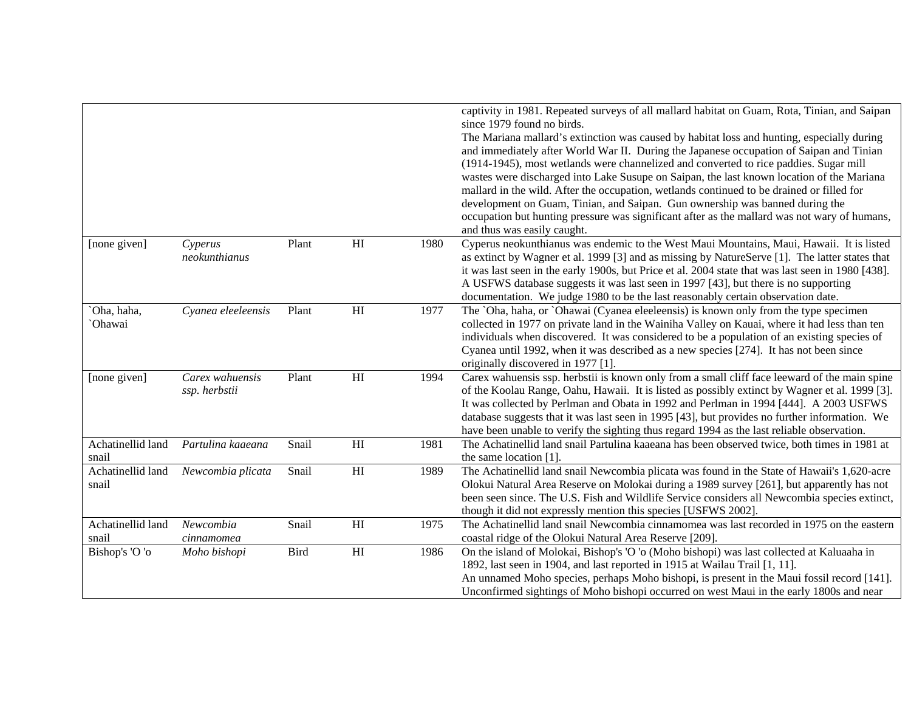|                   |                    |       |                |      | captivity in 1981. Repeated surveys of all mallard habitat on Guam, Rota, Tinian, and Saipan<br>since 1979 found no birds. |
|-------------------|--------------------|-------|----------------|------|----------------------------------------------------------------------------------------------------------------------------|
|                   |                    |       |                |      | The Mariana mallard's extinction was caused by habitat loss and hunting, especially during                                 |
|                   |                    |       |                |      | and immediately after World War II. During the Japanese occupation of Saipan and Tinian                                    |
|                   |                    |       |                |      | (1914-1945), most wetlands were channelized and converted to rice paddies. Sugar mill                                      |
|                   |                    |       |                |      | wastes were discharged into Lake Susupe on Saipan, the last known location of the Mariana                                  |
|                   |                    |       |                |      | mallard in the wild. After the occupation, wetlands continued to be drained or filled for                                  |
|                   |                    |       |                |      | development on Guam, Tinian, and Saipan. Gun ownership was banned during the                                               |
|                   |                    |       |                |      | occupation but hunting pressure was significant after as the mallard was not wary of humans,                               |
|                   |                    |       |                |      | and thus was easily caught.                                                                                                |
| [none given]      | Cyperus            | Plant | H <sub>I</sub> | 1980 | Cyperus neokunthianus was endemic to the West Maui Mountains, Maui, Hawaii. It is listed                                   |
|                   | neokunthianus      |       |                |      | as extinct by Wagner et al. 1999 [3] and as missing by NatureServe [1]. The latter states that                             |
|                   |                    |       |                |      | it was last seen in the early 1900s, but Price et al. 2004 state that was last seen in 1980 [438].                         |
|                   |                    |       |                |      | A USFWS database suggests it was last seen in 1997 [43], but there is no supporting                                        |
|                   |                    |       |                |      | documentation. We judge 1980 to be the last reasonably certain observation date.                                           |
| Oha, haha,        | Cyanea eleeleensis | Plant | H              | 1977 | The `Oha, haha, or `Ohawai (Cyanea eleeleensis) is known only from the type specimen                                       |
| <b>Ohawai</b>     |                    |       |                |      | collected in 1977 on private land in the Wainiha Valley on Kauai, where it had less than ten                               |
|                   |                    |       |                |      | individuals when discovered. It was considered to be a population of an existing species of                                |
|                   |                    |       |                |      | Cyanea until 1992, when it was described as a new species [274]. It has not been since                                     |
|                   |                    |       |                |      | originally discovered in 1977 [1].                                                                                         |
| [none given]      | Carex wahuensis    | Plant | H              | 1994 | Carex wahuensis ssp. herbstii is known only from a small cliff face leeward of the main spine                              |
|                   | ssp. herbstii      |       |                |      | of the Koolau Range, Oahu, Hawaii. It is listed as possibly extinct by Wagner et al. 1999 [3].                             |
|                   |                    |       |                |      | It was collected by Perlman and Obata in 1992 and Perlman in 1994 [444]. A 2003 USFWS                                      |
|                   |                    |       |                |      | database suggests that it was last seen in 1995 [43], but provides no further information. We                              |
|                   |                    |       |                |      | have been unable to verify the sighting thus regard 1994 as the last reliable observation.                                 |
| Achatinellid land | Partulina kaaeana  | Snail | H              | 1981 | The Achatinellid land snail Partulina kaaeana has been observed twice, both times in 1981 at                               |
| snail             |                    |       |                |      | the same location $[1]$ .                                                                                                  |
| Achatinellid land | Newcombia plicata  | Snail | H <sub>I</sub> | 1989 | The Achatinellid land snail Newcombia plicata was found in the State of Hawaii's 1,620-acre                                |
| snail             |                    |       |                |      | Olokui Natural Area Reserve on Molokai during a 1989 survey [261], but apparently has not                                  |
|                   |                    |       |                |      | been seen since. The U.S. Fish and Wildlife Service considers all Newcombia species extinct,                               |
|                   |                    |       |                |      | though it did not expressly mention this species [USFWS 2002].                                                             |
| Achatinellid land | Newcombia          | Snail | H <sub>I</sub> | 1975 | The Achatinellid land snail Newcombia cinnamomea was last recorded in 1975 on the eastern                                  |
| snail             | cinnamomea         |       |                |      | coastal ridge of the Olokui Natural Area Reserve [209].                                                                    |
| Bishop's 'O 'o    | Moho bishopi       | Bird  | H <sub>I</sub> | 1986 | On the island of Molokai, Bishop's 'O 'o (Moho bishopi) was last collected at Kaluaaha in                                  |
|                   |                    |       |                |      | 1892, last seen in 1904, and last reported in 1915 at Wailau Trail [1, 11].                                                |
|                   |                    |       |                |      | An unnamed Moho species, perhaps Moho bishopi, is present in the Maui fossil record [141].                                 |
|                   |                    |       |                |      | Unconfirmed sightings of Moho bishopi occurred on west Maui in the early 1800s and near                                    |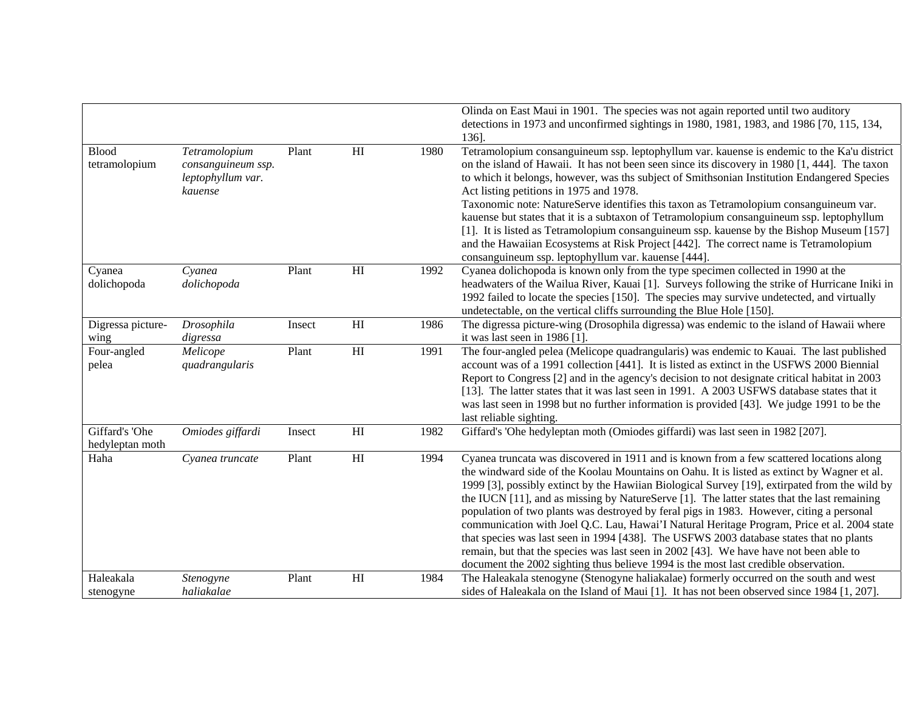|                                   |                                                                     |        |                            |      | Olinda on East Maui in 1901. The species was not again reported until two auditory<br>detections in 1973 and unconfirmed sightings in 1980, 1981, 1983, and 1986 [70, 115, 134,<br>136].                                                                                                                                                                                                                                                                                                                                                                                                                                                                                                                                                                                                                                                                             |
|-----------------------------------|---------------------------------------------------------------------|--------|----------------------------|------|----------------------------------------------------------------------------------------------------------------------------------------------------------------------------------------------------------------------------------------------------------------------------------------------------------------------------------------------------------------------------------------------------------------------------------------------------------------------------------------------------------------------------------------------------------------------------------------------------------------------------------------------------------------------------------------------------------------------------------------------------------------------------------------------------------------------------------------------------------------------|
| <b>Blood</b><br>tetramolopium     | Tetramolopium<br>consanguineum ssp.<br>leptophyllum var.<br>kauense | Plant  | H                          | 1980 | Tetramolopium consanguineum ssp. leptophyllum var. kauense is endemic to the Ka'u district<br>on the island of Hawaii. It has not been seen since its discovery in 1980 [1, 444]. The taxon<br>to which it belongs, however, was ths subject of Smithsonian Institution Endangered Species<br>Act listing petitions in 1975 and 1978.<br>Taxonomic note: NatureServe identifies this taxon as Tetramolopium consanguineum var.<br>kauense but states that it is a subtaxon of Tetramolopium consanguineum ssp. leptophyllum<br>[1]. It is listed as Tetramolopium consanguineum ssp. kauense by the Bishop Museum [157]<br>and the Hawaiian Ecosystems at Risk Project [442]. The correct name is Tetramolopium<br>consanguineum ssp. leptophyllum var. kauense [444].                                                                                               |
| Cyanea<br>dolichopoda             | Cyanea<br>dolichopoda                                               | Plant  | H                          | 1992 | Cyanea dolichopoda is known only from the type specimen collected in 1990 at the<br>headwaters of the Wailua River, Kauai [1]. Surveys following the strike of Hurricane Iniki in<br>1992 failed to locate the species [150]. The species may survive undetected, and virtually<br>undetectable, on the vertical cliffs surrounding the Blue Hole [150].                                                                                                                                                                                                                                                                                                                                                                                                                                                                                                             |
| Digressa picture-<br>wing         | Drosophila<br>digressa                                              | Insect | H                          | 1986 | The digressa picture-wing (Drosophila digressa) was endemic to the island of Hawaii where<br>it was last seen in $1986$ [1].                                                                                                                                                                                                                                                                                                                                                                                                                                                                                                                                                                                                                                                                                                                                         |
| Four-angled<br>pelea              | Melicope<br>quadrangularis                                          | Plant  | H                          | 1991 | The four-angled pelea (Melicope quadrangularis) was endemic to Kauai. The last published<br>account was of a 1991 collection [441]. It is listed as extinct in the USFWS 2000 Biennial<br>Report to Congress [2] and in the agency's decision to not designate critical habitat in 2003<br>[13]. The latter states that it was last seen in 1991. A 2003 USFWS database states that it<br>was last seen in 1998 but no further information is provided [43]. We judge 1991 to be the<br>last reliable sighting.                                                                                                                                                                                                                                                                                                                                                      |
| Giffard's 'Ohe<br>hedyleptan moth | Omiodes giffardi                                                    | Insect | H                          | 1982 | Giffard's 'Ohe hedyleptan moth (Omiodes giffardi) was last seen in 1982 [207].                                                                                                                                                                                                                                                                                                                                                                                                                                                                                                                                                                                                                                                                                                                                                                                       |
| Haha                              | Cyanea truncate                                                     | Plant  | H                          | 1994 | Cyanea truncata was discovered in 1911 and is known from a few scattered locations along<br>the windward side of the Koolau Mountains on Oahu. It is listed as extinct by Wagner et al.<br>1999 [3], possibly extinct by the Hawiian Biological Survey [19], extirpated from the wild by<br>the IUCN $[11]$ , and as missing by NatureServe $[1]$ . The latter states that the last remaining<br>population of two plants was destroyed by feral pigs in 1983. However, citing a personal<br>communication with Joel Q.C. Lau, Hawai'I Natural Heritage Program, Price et al. 2004 state<br>that species was last seen in 1994 [438]. The USFWS 2003 database states that no plants<br>remain, but that the species was last seen in 2002 [43]. We have have not been able to<br>document the 2002 sighting thus believe 1994 is the most last credible observation. |
| Haleakala<br>stenogyne            | Stenogyne<br>haliakalae                                             | Plant  | $\mathop{\rm HI}\nolimits$ | 1984 | The Haleakala stenogyne (Stenogyne haliakalae) formerly occurred on the south and west<br>sides of Haleakala on the Island of Maui [1]. It has not been observed since 1984 [1, 207].                                                                                                                                                                                                                                                                                                                                                                                                                                                                                                                                                                                                                                                                                |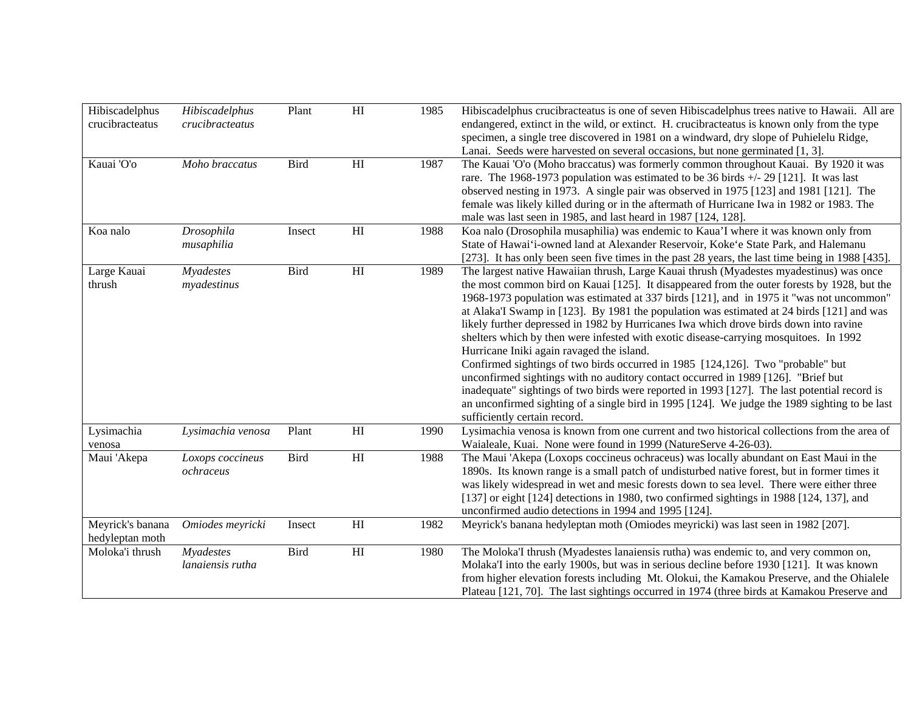| Hibiscadelphus<br>crucibracteatus   | Hibiscadelphus<br>crucibracteatus | Plant       | HI                         | 1985 | Hibiscadelphus crucibracteatus is one of seven Hibiscadelphus trees native to Hawaii. All are<br>endangered, extinct in the wild, or extinct. H. crucibracteatus is known only from the type<br>specimen, a single tree discovered in 1981 on a windward, dry slope of Puhielelu Ridge,<br>Lanai. Seeds were harvested on several occasions, but none germinated [1, 3].                                                                                                                                                                                                                                                                                                                                                                                                                                                                                                                                                                                                                                                |
|-------------------------------------|-----------------------------------|-------------|----------------------------|------|-------------------------------------------------------------------------------------------------------------------------------------------------------------------------------------------------------------------------------------------------------------------------------------------------------------------------------------------------------------------------------------------------------------------------------------------------------------------------------------------------------------------------------------------------------------------------------------------------------------------------------------------------------------------------------------------------------------------------------------------------------------------------------------------------------------------------------------------------------------------------------------------------------------------------------------------------------------------------------------------------------------------------|
| Kauai 'O'o                          | Moho braccatus                    | <b>Bird</b> | H <sub>I</sub>             | 1987 | The Kauai 'O'o (Moho braccatus) was formerly common throughout Kauai. By 1920 it was<br>rare. The 1968-1973 population was estimated to be 36 birds $+/- 29$ [121]. It was last<br>observed nesting in 1973. A single pair was observed in 1975 [123] and 1981 [121]. The<br>female was likely killed during or in the aftermath of Hurricane Iwa in 1982 or 1983. The<br>male was last seen in 1985, and last heard in 1987 [124, 128].                                                                                                                                                                                                                                                                                                                                                                                                                                                                                                                                                                                |
| Koa nalo                            | Drosophila<br>musaphilia          | Insect      | H <sub>I</sub>             | 1988 | Koa nalo (Drosophila musaphilia) was endemic to Kaua'I where it was known only from<br>State of Hawai'i-owned land at Alexander Reservoir, Koke'e State Park, and Halemanu<br>[273]. It has only been seen five times in the past 28 years, the last time being in 1988 [435].                                                                                                                                                                                                                                                                                                                                                                                                                                                                                                                                                                                                                                                                                                                                          |
| Large Kauai<br>thrush               | Myadestes<br>myadestinus          | Bird        | $\mathop{\rm HI}\nolimits$ | 1989 | The largest native Hawaiian thrush, Large Kauai thrush (Myadestes myadestinus) was once<br>the most common bird on Kauai [125]. It disappeared from the outer forests by 1928, but the<br>1968-1973 population was estimated at 337 birds [121], and in 1975 it "was not uncommon"<br>at Alaka'I Swamp in [123]. By 1981 the population was estimated at 24 birds [121] and was<br>likely further depressed in 1982 by Hurricanes Iwa which drove birds down into ravine<br>shelters which by then were infested with exotic disease-carrying mosquitoes. In 1992<br>Hurricane Iniki again ravaged the island.<br>Confirmed sightings of two birds occurred in 1985 [124,126]. Two "probable" but<br>unconfirmed sightings with no auditory contact occurred in 1989 [126]. "Brief but<br>inadequate" sightings of two birds were reported in 1993 [127]. The last potential record is<br>an unconfirmed sighting of a single bird in 1995 [124]. We judge the 1989 sighting to be last<br>sufficiently certain record. |
| Lysimachia<br>venosa                | Lysimachia venosa                 | Plant       | $\mathop{\rm HI}\nolimits$ | 1990 | Lysimachia venosa is known from one current and two historical collections from the area of<br>Waialeale, Kuai. None were found in 1999 (NatureServe 4-26-03).                                                                                                                                                                                                                                                                                                                                                                                                                                                                                                                                                                                                                                                                                                                                                                                                                                                          |
| Maui 'Akepa                         | Loxops coccineus<br>ochraceus     | <b>Bird</b> | $\mathop{\rm HI}\nolimits$ | 1988 | The Maui 'Akepa (Loxops coccineus ochraceus) was locally abundant on East Maui in the<br>1890s. Its known range is a small patch of undisturbed native forest, but in former times it<br>was likely widespread in wet and mesic forests down to sea level. There were either three<br>[137] or eight [124] detections in 1980, two confirmed sightings in 1988 [124, 137], and<br>unconfirmed audio detections in 1994 and 1995 [124].                                                                                                                                                                                                                                                                                                                                                                                                                                                                                                                                                                                  |
| Meyrick's banana<br>hedyleptan moth | Omiodes meyricki                  | Insect      | H                          | 1982 | Meyrick's banana hedyleptan moth (Omiodes meyricki) was last seen in 1982 [207].                                                                                                                                                                                                                                                                                                                                                                                                                                                                                                                                                                                                                                                                                                                                                                                                                                                                                                                                        |
| Moloka'i thrush                     | Myadestes<br>lanaiensis rutha     | <b>Bird</b> | H                          | 1980 | The Moloka'I thrush (Myadestes lanaiensis rutha) was endemic to, and very common on,<br>Molaka'I into the early 1900s, but was in serious decline before 1930 [121]. It was known<br>from higher elevation forests including Mt. Olokui, the Kamakou Preserve, and the Ohialele<br>Plateau [121, 70]. The last sightings occurred in 1974 (three birds at Kamakou Preserve and                                                                                                                                                                                                                                                                                                                                                                                                                                                                                                                                                                                                                                          |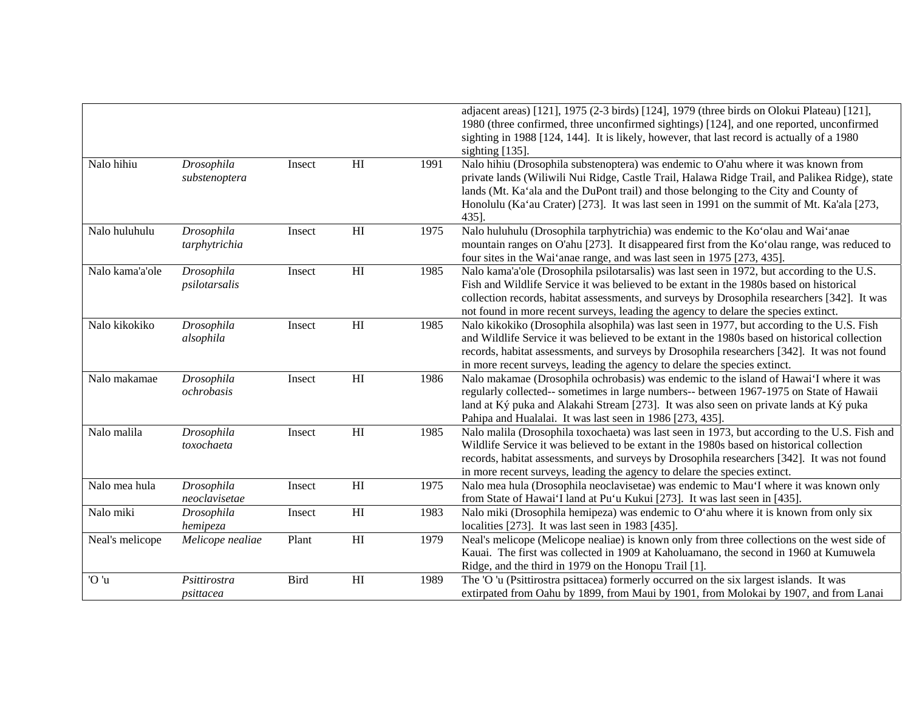|                 |                             |        |                            |      | adjacent areas) [121], 1975 (2-3 birds) [124], 1979 (three birds on Olokui Plateau) [121],<br>1980 (three confirmed, three unconfirmed sightings) [124], and one reported, unconfirmed<br>sighting in 1988 [124, 144]. It is likely, however, that last record is actually of a 1980<br>sighting [135].                                                                             |
|-----------------|-----------------------------|--------|----------------------------|------|-------------------------------------------------------------------------------------------------------------------------------------------------------------------------------------------------------------------------------------------------------------------------------------------------------------------------------------------------------------------------------------|
| Nalo hihiu      | Drosophila<br>substenoptera | Insect | $\mathop{\rm HI}\nolimits$ | 1991 | Nalo hihiu (Drosophila substenoptera) was endemic to O'ahu where it was known from<br>private lands (Wiliwili Nui Ridge, Castle Trail, Halawa Ridge Trail, and Palikea Ridge), state<br>lands (Mt. Ka'ala and the DuPont trail) and those belonging to the City and County of<br>Honolulu (Ka'au Crater) [273]. It was last seen in 1991 on the summit of Mt. Ka'ala [273,<br>435]. |
| Nalo huluhulu   | Drosophila<br>tarphytrichia | Insect | H <sub>I</sub>             | 1975 | Nalo huluhulu (Drosophila tarphytrichia) was endemic to the Ko'olau and Wai'anae<br>mountain ranges on O'ahu [273]. It disappeared first from the Ko'olau range, was reduced to<br>four sites in the Wai'anae range, and was last seen in 1975 [273, 435].                                                                                                                          |
| Nalo kama'a'ole | Drosophila<br>psilotarsalis | Insect | HI                         | 1985 | Nalo kama'a'ole (Drosophila psilotarsalis) was last seen in 1972, but according to the U.S.<br>Fish and Wildlife Service it was believed to be extant in the 1980s based on historical<br>collection records, habitat assessments, and surveys by Drosophila researchers [342]. It was<br>not found in more recent surveys, leading the agency to delare the species extinct.       |
| Nalo kikokiko   | Drosophila<br>alsophila     | Insect | $\mathop{\rm HI}\nolimits$ | 1985 | Nalo kikokiko (Drosophila alsophila) was last seen in 1977, but according to the U.S. Fish<br>and Wildlife Service it was believed to be extant in the 1980s based on historical collection<br>records, habitat assessments, and surveys by Drosophila researchers [342]. It was not found<br>in more recent surveys, leading the agency to delare the species extinct.             |
| Nalo makamae    | Drosophila<br>ochrobasis    | Insect | H <sub>I</sub>             | 1986 | Nalo makamae (Drosophila ochrobasis) was endemic to the island of Hawai'I where it was<br>regularly collected-- sometimes in large numbers-- between 1967-1975 on State of Hawaii<br>land at Ký puka and Alakahi Stream [273]. It was also seen on private lands at Ký puka<br>Pahipa and Hualalai. It was last seen in 1986 [273, 435].                                            |
| Nalo malila     | Drosophila<br>toxochaeta    | Insect | $\mathop{\rm HI}\nolimits$ | 1985 | Nalo malila (Drosophila toxochaeta) was last seen in 1973, but according to the U.S. Fish and<br>Wildlife Service it was believed to be extant in the 1980s based on historical collection<br>records, habitat assessments, and surveys by Drosophila researchers [342]. It was not found<br>in more recent surveys, leading the agency to delare the species extinct.              |
| Nalo mea hula   | Drosophila<br>neoclavisetae | Insect | HI                         | 1975 | Nalo mea hula (Drosophila neoclavisetae) was endemic to Mau'l where it was known only<br>from State of Hawai'I land at Pu'u Kukui [273]. It was last seen in [435].                                                                                                                                                                                                                 |
| Nalo miki       | Drosophila<br>hemipeza      | Insect | HI                         | 1983 | Nalo miki (Drosophila hemipeza) was endemic to O'ahu where it is known from only six<br>localities [273]. It was last seen in 1983 [435].                                                                                                                                                                                                                                           |
| Neal's melicope | Melicope nealiae            | Plant  | HI                         | 1979 | Neal's melicope (Melicope nealiae) is known only from three collections on the west side of<br>Kauai. The first was collected in 1909 at Kaholuamano, the second in 1960 at Kumuwela<br>Ridge, and the third in 1979 on the Honopu Trail [1].                                                                                                                                       |
| 'O 'u           | Psittirostra<br>psittacea   | Bird   | $\mathop{\rm HI}\nolimits$ | 1989 | The 'O 'u (Psittirostra psittacea) formerly occurred on the six largest islands. It was<br>extirpated from Oahu by 1899, from Maui by 1901, from Molokai by 1907, and from Lanai                                                                                                                                                                                                    |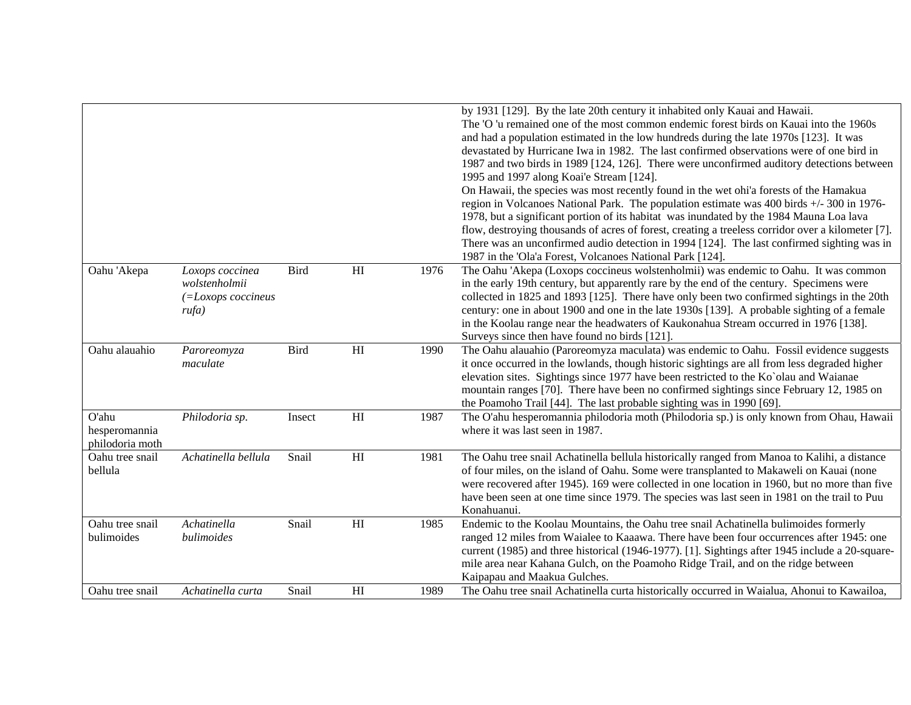|                                           |                                                                 |             |                            |      | by 1931 [129]. By the late 20th century it inhabited only Kauai and Hawaii.<br>The 'O 'u remained one of the most common endemic forest birds on Kauai into the 1960s<br>and had a population estimated in the low hundreds during the late 1970s [123]. It was<br>devastated by Hurricane Iwa in 1982. The last confirmed observations were of one bird in<br>1987 and two birds in 1989 [124, 126]. There were unconfirmed auditory detections between<br>1995 and 1997 along Koai'e Stream [124].<br>On Hawaii, the species was most recently found in the wet ohi'a forests of the Hamakua<br>region in Volcanoes National Park. The population estimate was 400 birds +/- 300 in 1976-<br>1978, but a significant portion of its habitat was inundated by the 1984 Mauna Loa lava<br>flow, destroying thousands of acres of forest, creating a treeless corridor over a kilometer [7].<br>There was an unconfirmed audio detection in 1994 [124]. The last confirmed sighting was in<br>1987 in the 'Ola'a Forest, Volcanoes National Park [124]. |
|-------------------------------------------|-----------------------------------------------------------------|-------------|----------------------------|------|--------------------------------------------------------------------------------------------------------------------------------------------------------------------------------------------------------------------------------------------------------------------------------------------------------------------------------------------------------------------------------------------------------------------------------------------------------------------------------------------------------------------------------------------------------------------------------------------------------------------------------------------------------------------------------------------------------------------------------------------------------------------------------------------------------------------------------------------------------------------------------------------------------------------------------------------------------------------------------------------------------------------------------------------------------|
| Oahu 'Akepa                               | Loxops coccinea<br>wolstenholmii<br>(=Loxops coccineus<br>rufa) | Bird        | $\mathop{\rm HI}\nolimits$ | 1976 | The Oahu 'Akepa (Loxops coccineus wolstenholmii) was endemic to Oahu. It was common<br>in the early 19th century, but apparently rare by the end of the century. Specimens were<br>collected in 1825 and 1893 [125]. There have only been two confirmed sightings in the 20th<br>century: one in about 1900 and one in the late 1930s [139]. A probable sighting of a female<br>in the Koolau range near the headwaters of Kaukonahua Stream occurred in 1976 [138].<br>Surveys since then have found no birds [121].                                                                                                                                                                                                                                                                                                                                                                                                                                                                                                                                  |
| Oahu alauahio                             | Paroreomyza<br>maculate                                         | <b>Bird</b> | $\mathop{\rm HI}\nolimits$ | 1990 | The Oahu alauahio (Paroreomyza maculata) was endemic to Oahu. Fossil evidence suggests<br>it once occurred in the lowlands, though historic sightings are all from less degraded higher<br>elevation sites. Sightings since 1977 have been restricted to the Ko`olau and Waianae<br>mountain ranges [70]. There have been no confirmed sightings since February 12, 1985 on<br>the Poamoho Trail [44]. The last probable sighting was in 1990 [69].                                                                                                                                                                                                                                                                                                                                                                                                                                                                                                                                                                                                    |
| O'ahu<br>hesperomannia<br>philodoria moth | Philodoria sp.                                                  | Insect      | $\mathop{\rm HI}\nolimits$ | 1987 | The O'ahu hesperomannia philodoria moth (Philodoria sp.) is only known from Ohau, Hawaii<br>where it was last seen in 1987.                                                                                                                                                                                                                                                                                                                                                                                                                                                                                                                                                                                                                                                                                                                                                                                                                                                                                                                            |
| Oahu tree snail<br>bellula                | Achatinella bellula                                             | Snail       | $\mathop{\rm HI}\nolimits$ | 1981 | The Oahu tree snail Achatinella bellula historically ranged from Manoa to Kalihi, a distance<br>of four miles, on the island of Oahu. Some were transplanted to Makaweli on Kauai (none<br>were recovered after 1945). 169 were collected in one location in 1960, but no more than five<br>have been seen at one time since 1979. The species was last seen in 1981 on the trail to Puu<br>Konahuanui.                                                                                                                                                                                                                                                                                                                                                                                                                                                                                                                                                                                                                                                |
| Oahu tree snail<br>bulimoides             | Achatinella<br>bulimoides                                       | Snail       | $\mathop{\rm HI}\nolimits$ | 1985 | Endemic to the Koolau Mountains, the Oahu tree snail Achatinella bulimoides formerly<br>ranged 12 miles from Waialee to Kaaawa. There have been four occurrences after 1945: one<br>current (1985) and three historical (1946-1977). [1]. Sightings after 1945 include a 20-square-<br>mile area near Kahana Gulch, on the Poamoho Ridge Trail, and on the ridge between<br>Kaipapau and Maakua Gulches.                                                                                                                                                                                                                                                                                                                                                                                                                                                                                                                                                                                                                                               |
| Oahu tree snail                           | Achatinella curta                                               | Snail       | H <sub>I</sub>             | 1989 | The Oahu tree snail Achatinella curta historically occurred in Waialua, Ahonui to Kawailoa,                                                                                                                                                                                                                                                                                                                                                                                                                                                                                                                                                                                                                                                                                                                                                                                                                                                                                                                                                            |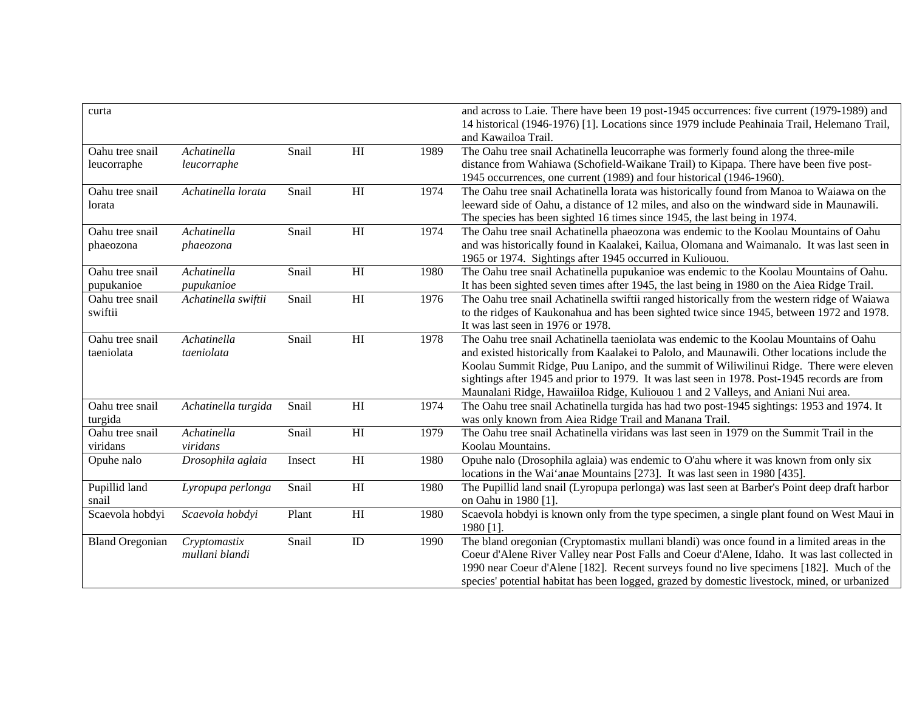| curta                          |                                |        |                            |      | and across to Laie. There have been 19 post-1945 occurrences: five current (1979-1989) and<br>14 historical (1946-1976) [1]. Locations since 1979 include Peahinaia Trail, Helemano Trail,<br>and Kawailoa Trail.                                                                                                                                                                                                                                                     |
|--------------------------------|--------------------------------|--------|----------------------------|------|-----------------------------------------------------------------------------------------------------------------------------------------------------------------------------------------------------------------------------------------------------------------------------------------------------------------------------------------------------------------------------------------------------------------------------------------------------------------------|
| Oahu tree snail<br>leucorraphe | Achatinella<br>leucorraphe     | Snail  | HI                         | 1989 | The Oahu tree snail Achatinella leucorraphe was formerly found along the three-mile<br>distance from Wahiawa (Schofield-Waikane Trail) to Kipapa. There have been five post-<br>1945 occurrences, one current (1989) and four historical (1946-1960).                                                                                                                                                                                                                 |
| Oahu tree snail<br>lorata      | Achatinella lorata             | Snail  | $\mathop{\rm HI}\nolimits$ | 1974 | The Oahu tree snail Achatinella lorata was historically found from Manoa to Waiawa on the<br>leeward side of Oahu, a distance of 12 miles, and also on the windward side in Maunawili.<br>The species has been sighted 16 times since 1945, the last being in 1974.                                                                                                                                                                                                   |
| Oahu tree snail<br>phaeozona   | Achatinella<br>phaeozona       | Snail  | $\mathop{\rm HI}\nolimits$ | 1974 | The Oahu tree snail Achatinella phaeozona was endemic to the Koolau Mountains of Oahu<br>and was historically found in Kaalakei, Kailua, Olomana and Waimanalo. It was last seen in<br>1965 or 1974. Sightings after 1945 occurred in Kuliouou.                                                                                                                                                                                                                       |
| Oahu tree snail<br>pupukanioe  | Achatinella<br>pupukanioe      | Snail  | H                          | 1980 | The Oahu tree snail Achatinella pupukanioe was endemic to the Koolau Mountains of Oahu.<br>It has been sighted seven times after 1945, the last being in 1980 on the Aiea Ridge Trail.                                                                                                                                                                                                                                                                                |
| Oahu tree snail<br>swiftii     | Achatinella swiftii            | Snail  | $\mathop{\rm HI}\nolimits$ | 1976 | The Oahu tree snail Achatinella swiftii ranged historically from the western ridge of Waiawa<br>to the ridges of Kaukonahua and has been sighted twice since 1945, between 1972 and 1978.<br>It was last seen in 1976 or 1978.                                                                                                                                                                                                                                        |
| Oahu tree snail<br>taeniolata  | Achatinella<br>taeniolata      | Snail  | $\mathop{\rm HI}\nolimits$ | 1978 | The Oahu tree snail Achatinella taeniolata was endemic to the Koolau Mountains of Oahu<br>and existed historically from Kaalakei to Palolo, and Maunawili. Other locations include the<br>Koolau Summit Ridge, Puu Lanipo, and the summit of Wiliwilinui Ridge. There were eleven<br>sightings after 1945 and prior to 1979. It was last seen in 1978. Post-1945 records are from<br>Maunalani Ridge, Hawaiiloa Ridge, Kuliouou 1 and 2 Valleys, and Aniani Nui area. |
| Oahu tree snail<br>turgida     | Achatinella turgida            | Snail  | H <sub>I</sub>             | 1974 | The Oahu tree snail Achatinella turgida has had two post-1945 sightings: 1953 and 1974. It<br>was only known from Aiea Ridge Trail and Manana Trail.                                                                                                                                                                                                                                                                                                                  |
| Oahu tree snail<br>viridans    | Achatinella<br>viridans        | Snail  | $\overline{H}$             | 1979 | The Oahu tree snail Achatinella viridans was last seen in 1979 on the Summit Trail in the<br>Koolau Mountains.                                                                                                                                                                                                                                                                                                                                                        |
| Opuhe nalo                     | Drosophila aglaia              | Insect | $\mathop{\rm HI}\nolimits$ | 1980 | Opuhe nalo (Drosophila aglaia) was endemic to O'ahu where it was known from only six<br>locations in the Wai'anae Mountains [273]. It was last seen in 1980 [435].                                                                                                                                                                                                                                                                                                    |
| Pupillid land<br>snail         | Lyropupa perlonga              | Snail  | $\mathop{\rm HI}\nolimits$ | 1980 | The Pupillid land snail (Lyropupa perlonga) was last seen at Barber's Point deep draft harbor<br>on Oahu in 1980 [1].                                                                                                                                                                                                                                                                                                                                                 |
| Scaevola hobdyi                | Scaevola hobdyi                | Plant  | H                          | 1980 | Scaevola hobdyi is known only from the type specimen, a single plant found on West Maui in<br>1980 [1].                                                                                                                                                                                                                                                                                                                                                               |
| <b>Bland Oregonian</b>         | Cryptomastix<br>mullani blandi | Snail  | $\rm ID$                   | 1990 | The bland oregonian (Cryptomastix mullani blandi) was once found in a limited areas in the<br>Coeur d'Alene River Valley near Post Falls and Coeur d'Alene, Idaho. It was last collected in<br>1990 near Coeur d'Alene [182]. Recent surveys found no live specimens [182]. Much of the<br>species' potential habitat has been logged, grazed by domestic livestock, mined, or urbanized                                                                              |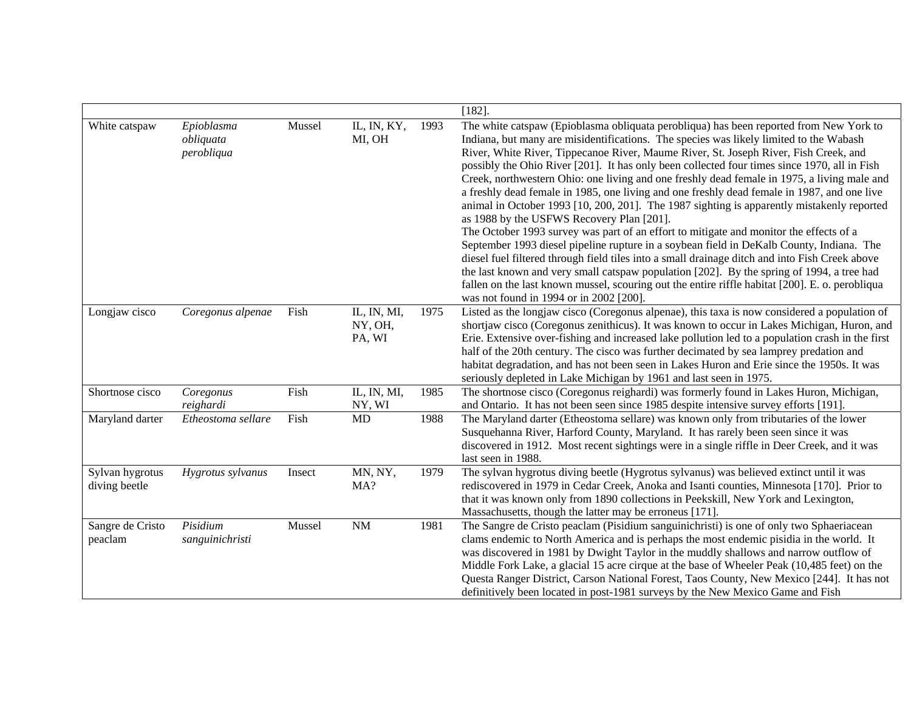|                                  |                                       |        |                                  |      | $[182]$ .                                                                                                                                                                                                                                                                                                                                                                                                                                                                                                                                                                                                                                                                                                                                                                                                                                                                                                                                                                                                                                                                                                                                                                                                                                            |
|----------------------------------|---------------------------------------|--------|----------------------------------|------|------------------------------------------------------------------------------------------------------------------------------------------------------------------------------------------------------------------------------------------------------------------------------------------------------------------------------------------------------------------------------------------------------------------------------------------------------------------------------------------------------------------------------------------------------------------------------------------------------------------------------------------------------------------------------------------------------------------------------------------------------------------------------------------------------------------------------------------------------------------------------------------------------------------------------------------------------------------------------------------------------------------------------------------------------------------------------------------------------------------------------------------------------------------------------------------------------------------------------------------------------|
| White catspaw                    | Epioblasma<br>obliquata<br>perobliqua | Mussel | IL, IN, KY,<br>MI, OH            | 1993 | The white catspaw (Epioblasma obliquata perobliqua) has been reported from New York to<br>Indiana, but many are misidentifications. The species was likely limited to the Wabash<br>River, White River, Tippecanoe River, Maume River, St. Joseph River, Fish Creek, and<br>possibly the Ohio River [201]. It has only been collected four times since 1970, all in Fish<br>Creek, northwestern Ohio: one living and one freshly dead female in 1975, a living male and<br>a freshly dead female in 1985, one living and one freshly dead female in 1987, and one live<br>animal in October 1993 [10, 200, 201]. The 1987 sighting is apparently mistakenly reported<br>as 1988 by the USFWS Recovery Plan [201].<br>The October 1993 survey was part of an effort to mitigate and monitor the effects of a<br>September 1993 diesel pipeline rupture in a soybean field in DeKalb County, Indiana. The<br>diesel fuel filtered through field tiles into a small drainage ditch and into Fish Creek above<br>the last known and very small catspaw population [202]. By the spring of 1994, a tree had<br>fallen on the last known mussel, scouring out the entire riffle habitat [200]. E. o. perobliqua<br>was not found in 1994 or in 2002 [200]. |
| Longjaw cisco                    | Coregonus alpenae                     | Fish   | IL, IN, MI,<br>NY, OH,<br>PA, WI | 1975 | Listed as the longjaw cisco (Coregonus alpenae), this taxa is now considered a population of<br>shortjaw cisco (Coregonus zenithicus). It was known to occur in Lakes Michigan, Huron, and<br>Erie. Extensive over-fishing and increased lake pollution led to a population crash in the first<br>half of the 20th century. The cisco was further decimated by sea lamprey predation and<br>habitat degradation, and has not been seen in Lakes Huron and Erie since the 1950s. It was<br>seriously depleted in Lake Michigan by 1961 and last seen in 1975.                                                                                                                                                                                                                                                                                                                                                                                                                                                                                                                                                                                                                                                                                         |
| Shortnose cisco                  | Coregonus<br>reighardi                | Fish   | IL, IN, MI,<br>NY, WI            | 1985 | The shortnose cisco (Coregonus reighardi) was formerly found in Lakes Huron, Michigan,<br>and Ontario. It has not been seen since 1985 despite intensive survey efforts [191].                                                                                                                                                                                                                                                                                                                                                                                                                                                                                                                                                                                                                                                                                                                                                                                                                                                                                                                                                                                                                                                                       |
| Maryland darter                  | Etheostoma sellare                    | Fish   | MD                               | 1988 | The Maryland darter (Etheostoma sellare) was known only from tributaries of the lower<br>Susquehanna River, Harford County, Maryland. It has rarely been seen since it was<br>discovered in 1912. Most recent sightings were in a single riffle in Deer Creek, and it was<br>last seen in 1988.                                                                                                                                                                                                                                                                                                                                                                                                                                                                                                                                                                                                                                                                                                                                                                                                                                                                                                                                                      |
| Sylvan hygrotus<br>diving beetle | Hygrotus sylvanus                     | Insect | MN, NY,<br>MA?                   | 1979 | The sylvan hygrotus diving beetle (Hygrotus sylvanus) was believed extinct until it was<br>rediscovered in 1979 in Cedar Creek, Anoka and Isanti counties, Minnesota [170]. Prior to<br>that it was known only from 1890 collections in Peekskill, New York and Lexington,<br>Massachusetts, though the latter may be erroneus [171].                                                                                                                                                                                                                                                                                                                                                                                                                                                                                                                                                                                                                                                                                                                                                                                                                                                                                                                |
| Sangre de Cristo<br>peaclam      | Pisidium<br>sanguinichristi           | Mussel | $\rm{NM}$                        | 1981 | The Sangre de Cristo peaclam (Pisidium sanguinichristi) is one of only two Sphaeriacean<br>clams endemic to North America and is perhaps the most endemic pisidia in the world. It<br>was discovered in 1981 by Dwight Taylor in the muddly shallows and narrow outflow of<br>Middle Fork Lake, a glacial 15 acre cirque at the base of Wheeler Peak (10,485 feet) on the<br>Questa Ranger District, Carson National Forest, Taos County, New Mexico [244]. It has not<br>definitively been located in post-1981 surveys by the New Mexico Game and Fish                                                                                                                                                                                                                                                                                                                                                                                                                                                                                                                                                                                                                                                                                             |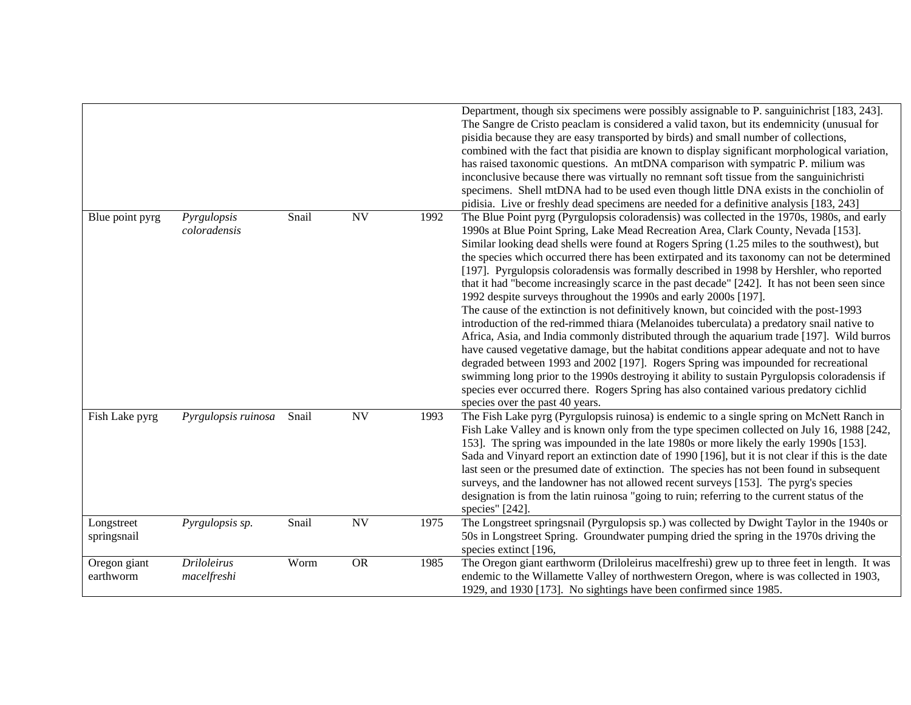|                           |                                   |       |           |      | Department, though six specimens were possibly assignable to P. sanguinichrist [183, 243].<br>The Sangre de Cristo peaclam is considered a valid taxon, but its endemnicity (unusual for<br>pisidia because they are easy transported by birds) and small number of collections,<br>combined with the fact that pisidia are known to display significant morphological variation,<br>has raised taxonomic questions. An mtDNA comparison with sympatric P. milium was<br>inconclusive because there was virtually no remnant soft tissue from the sanguinichristi<br>specimens. Shell mtDNA had to be used even though little DNA exists in the conchiolin of<br>pidisia. Live or freshly dead specimens are needed for a definitive analysis [183, 243]                                                                                                                                                                                                                                                                                                                                                                                                                                                                                                                                                                                                 |
|---------------------------|-----------------------------------|-------|-----------|------|----------------------------------------------------------------------------------------------------------------------------------------------------------------------------------------------------------------------------------------------------------------------------------------------------------------------------------------------------------------------------------------------------------------------------------------------------------------------------------------------------------------------------------------------------------------------------------------------------------------------------------------------------------------------------------------------------------------------------------------------------------------------------------------------------------------------------------------------------------------------------------------------------------------------------------------------------------------------------------------------------------------------------------------------------------------------------------------------------------------------------------------------------------------------------------------------------------------------------------------------------------------------------------------------------------------------------------------------------------|
| Blue point pyrg           | Pyrgulopsis<br>coloradensis       | Snail | <b>NV</b> | 1992 | The Blue Point pyrg (Pyrgulopsis coloradensis) was collected in the 1970s, 1980s, and early<br>1990s at Blue Point Spring, Lake Mead Recreation Area, Clark County, Nevada [153].<br>Similar looking dead shells were found at Rogers Spring (1.25 miles to the southwest), but<br>the species which occurred there has been extirpated and its taxonomy can not be determined<br>[197]. Pyrgulopsis coloradensis was formally described in 1998 by Hershler, who reported<br>that it had "become increasingly scarce in the past decade" [242]. It has not been seen since<br>1992 despite surveys throughout the 1990s and early 2000s [197].<br>The cause of the extinction is not definitively known, but coincided with the post-1993<br>introduction of the red-rimmed thiara (Melanoides tuberculata) a predatory snail native to<br>Africa, Asia, and India commonly distributed through the aquarium trade [197]. Wild burros<br>have caused vegetative damage, but the habitat conditions appear adequate and not to have<br>degraded between 1993 and 2002 [197]. Rogers Spring was impounded for recreational<br>swimming long prior to the 1990s destroying it ability to sustain Pyrgulopsis coloradensis if<br>species ever occurred there. Rogers Spring has also contained various predatory cichlid<br>species over the past 40 years. |
| Fish Lake pyrg            | Pyrgulopsis ruinosa               | Snail | <b>NV</b> | 1993 | The Fish Lake pyrg (Pyrgulopsis ruinosa) is endemic to a single spring on McNett Ranch in<br>Fish Lake Valley and is known only from the type specimen collected on July 16, 1988 [242,<br>153]. The spring was impounded in the late 1980s or more likely the early 1990s [153].<br>Sada and Vinyard report an extinction date of 1990 [196], but it is not clear if this is the date<br>last seen or the presumed date of extinction. The species has not been found in subsequent<br>surveys, and the landowner has not allowed recent surveys [153]. The pyrg's species<br>designation is from the latin ruinosa "going to ruin; referring to the current status of the<br>species" [242].                                                                                                                                                                                                                                                                                                                                                                                                                                                                                                                                                                                                                                                           |
| Longstreet<br>springsnail | Pyrgulopsis sp.                   | Snail | <b>NV</b> | 1975 | The Longstreet springsnail (Pyrgulopsis sp.) was collected by Dwight Taylor in the 1940s or<br>50s in Longstreet Spring. Groundwater pumping dried the spring in the 1970s driving the<br>species extinct [196,                                                                                                                                                                                                                                                                                                                                                                                                                                                                                                                                                                                                                                                                                                                                                                                                                                                                                                                                                                                                                                                                                                                                          |
| Oregon giant<br>earthworm | <b>Driloleirus</b><br>macelfreshi | Worm  | <b>OR</b> | 1985 | The Oregon giant earthworm (Driloleirus macelfreshi) grew up to three feet in length. It was<br>endemic to the Willamette Valley of northwestern Oregon, where is was collected in 1903,<br>1929, and 1930 [173]. No sightings have been confirmed since 1985.                                                                                                                                                                                                                                                                                                                                                                                                                                                                                                                                                                                                                                                                                                                                                                                                                                                                                                                                                                                                                                                                                           |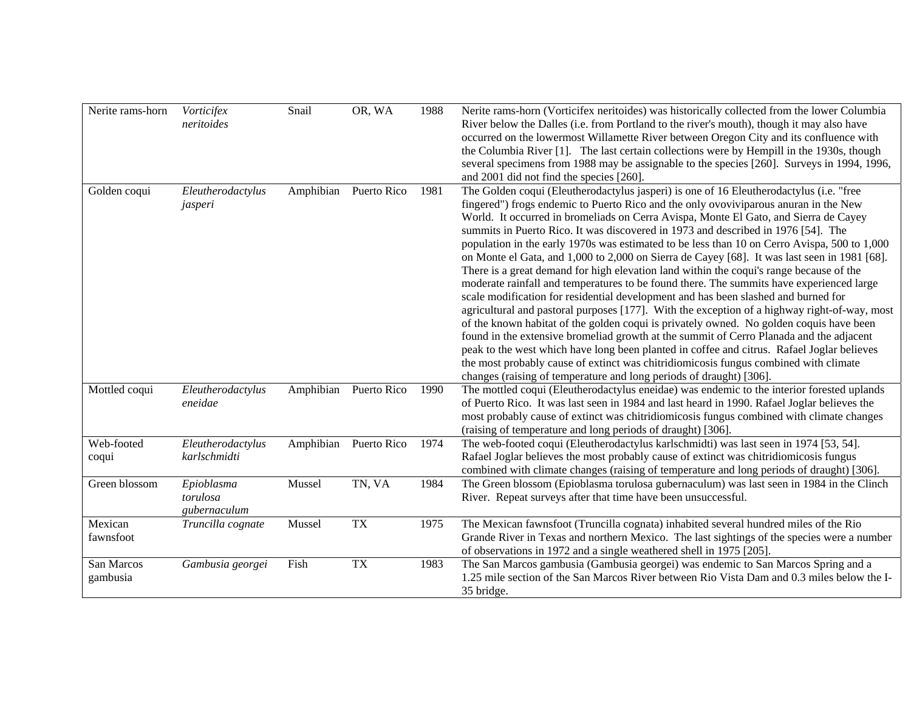| Nerite rams-horn       | Vorticifex<br>neritoides               | Snail     | OR, WA      | 1988 | Nerite rams-horn (Vorticifex neritoides) was historically collected from the lower Columbia<br>River below the Dalles (i.e. from Portland to the river's mouth), though it may also have<br>occurred on the lowermost Willamette River between Oregon City and its confluence with<br>the Columbia River [1]. The last certain collections were by Hempill in the 1930s, though<br>several specimens from 1988 may be assignable to the species [260]. Surveys in 1994, 1996,<br>and 2001 did not find the species [260].                                                                                                                                                                                                                                                                                                                                                                                                                                                                                                                                                                                                                                                                                                                                                                                                                                                                    |
|------------------------|----------------------------------------|-----------|-------------|------|----------------------------------------------------------------------------------------------------------------------------------------------------------------------------------------------------------------------------------------------------------------------------------------------------------------------------------------------------------------------------------------------------------------------------------------------------------------------------------------------------------------------------------------------------------------------------------------------------------------------------------------------------------------------------------------------------------------------------------------------------------------------------------------------------------------------------------------------------------------------------------------------------------------------------------------------------------------------------------------------------------------------------------------------------------------------------------------------------------------------------------------------------------------------------------------------------------------------------------------------------------------------------------------------------------------------------------------------------------------------------------------------|
| Golden coqui           | Eleutherodactylus<br>jasperi           | Amphibian | Puerto Rico | 1981 | The Golden coqui (Eleutherodactylus jasperi) is one of 16 Eleutherodactylus (i.e. "free<br>fingered") frogs endemic to Puerto Rico and the only ovoviviparous anuran in the New<br>World. It occurred in bromeliads on Cerra Avispa, Monte El Gato, and Sierra de Cayey<br>summits in Puerto Rico. It was discovered in 1973 and described in 1976 [54]. The<br>population in the early 1970s was estimated to be less than 10 on Cerro Avispa, 500 to 1,000<br>on Monte el Gata, and 1,000 to 2,000 on Sierra de Cayey [68]. It was last seen in 1981 [68].<br>There is a great demand for high elevation land within the coqui's range because of the<br>moderate rainfall and temperatures to be found there. The summits have experienced large<br>scale modification for residential development and has been slashed and burned for<br>agricultural and pastoral purposes [177]. With the exception of a highway right-of-way, most<br>of the known habitat of the golden coqui is privately owned. No golden coquis have been<br>found in the extensive bromeliad growth at the summit of Cerro Planada and the adjacent<br>peak to the west which have long been planted in coffee and citrus. Rafael Joglar believes<br>the most probably cause of extinct was chitridiomicosis fungus combined with climate<br>changes (raising of temperature and long periods of draught) [306]. |
| Mottled coqui          | Eleutherodactylus<br>eneidae           | Amphibian | Puerto Rico | 1990 | The mottled coqui (Eleutherodactylus eneidae) was endemic to the interior forested uplands<br>of Puerto Rico. It was last seen in 1984 and last heard in 1990. Rafael Joglar believes the<br>most probably cause of extinct was chitridiomicosis fungus combined with climate changes<br>(raising of temperature and long periods of draught) [306].                                                                                                                                                                                                                                                                                                                                                                                                                                                                                                                                                                                                                                                                                                                                                                                                                                                                                                                                                                                                                                         |
| Web-footed<br>coqui    | Eleutherodactylus<br>karlschmidti      | Amphibian | Puerto Rico | 1974 | The web-footed coqui (Eleutherodactylus karlschmidti) was last seen in 1974 [53, 54].<br>Rafael Joglar believes the most probably cause of extinct was chitridiomicosis fungus<br>combined with climate changes (raising of temperature and long periods of draught) [306].                                                                                                                                                                                                                                                                                                                                                                                                                                                                                                                                                                                                                                                                                                                                                                                                                                                                                                                                                                                                                                                                                                                  |
| Green blossom          | Epioblasma<br>torulosa<br>gubernaculum | Mussel    | TN, VA      | 1984 | The Green blossom (Epioblasma torulosa gubernaculum) was last seen in 1984 in the Clinch<br>River. Repeat surveys after that time have been unsuccessful.                                                                                                                                                                                                                                                                                                                                                                                                                                                                                                                                                                                                                                                                                                                                                                                                                                                                                                                                                                                                                                                                                                                                                                                                                                    |
| Mexican<br>fawnsfoot   | Truncilla cognate                      | Mussel    | <b>TX</b>   | 1975 | The Mexican fawnsfoot (Truncilla cognata) inhabited several hundred miles of the Rio<br>Grande River in Texas and northern Mexico. The last sightings of the species were a number<br>of observations in 1972 and a single weathered shell in 1975 [205].                                                                                                                                                                                                                                                                                                                                                                                                                                                                                                                                                                                                                                                                                                                                                                                                                                                                                                                                                                                                                                                                                                                                    |
| San Marcos<br>gambusia | Gambusia georgei                       | Fish      | <b>TX</b>   | 1983 | The San Marcos gambusia (Gambusia georgei) was endemic to San Marcos Spring and a<br>1.25 mile section of the San Marcos River between Rio Vista Dam and 0.3 miles below the I-<br>35 bridge.                                                                                                                                                                                                                                                                                                                                                                                                                                                                                                                                                                                                                                                                                                                                                                                                                                                                                                                                                                                                                                                                                                                                                                                                |